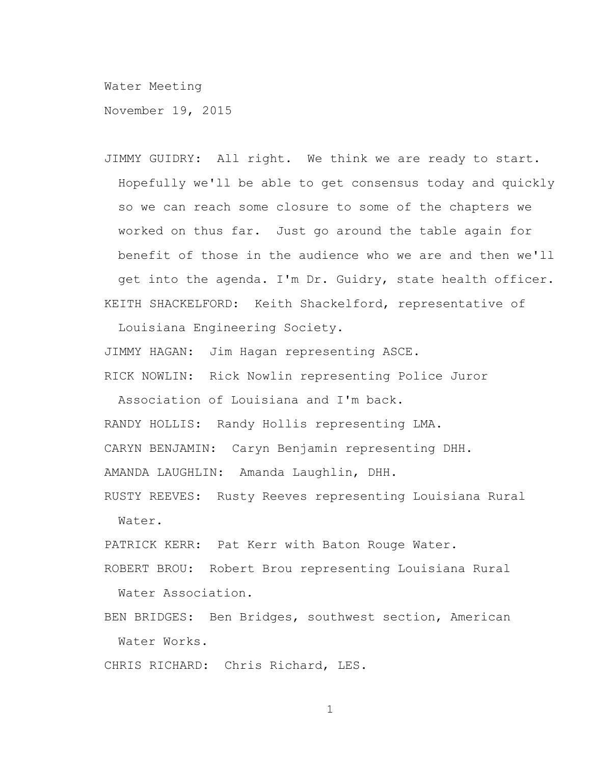Water Meeting

November 19, 2015

JIMMY GUIDRY: All right. We think we are ready to start. Hopefully we'll be able to get consensus today and quickly so we can reach some closure to some of the chapters we worked on thus far. Just go around the table again for benefit of those in the audience who we are and then we'll get into the agenda. I'm Dr. Guidry, state health officer. KEITH SHACKELFORD: Keith Shackelford, representative of

Louisiana Engineering Society.

JIMMY HAGAN: Jim Hagan representing ASCE.

RICK NOWLIN: Rick Nowlin representing Police Juror

Association of Louisiana and I'm back.

RANDY HOLLIS: Randy Hollis representing LMA.

CARYN BENJAMIN: Caryn Benjamin representing DHH.

AMANDA LAUGHLIN: Amanda Laughlin, DHH.

RUSTY REEVES: Rusty Reeves representing Louisiana Rural Water.

PATRICK KERR: Pat Kerr with Baton Rouge Water.

ROBERT BROU: Robert Brou representing Louisiana Rural Water Association.

BEN BRIDGES: Ben Bridges, southwest section, American Water Works.

CHRIS RICHARD: Chris Richard, LES.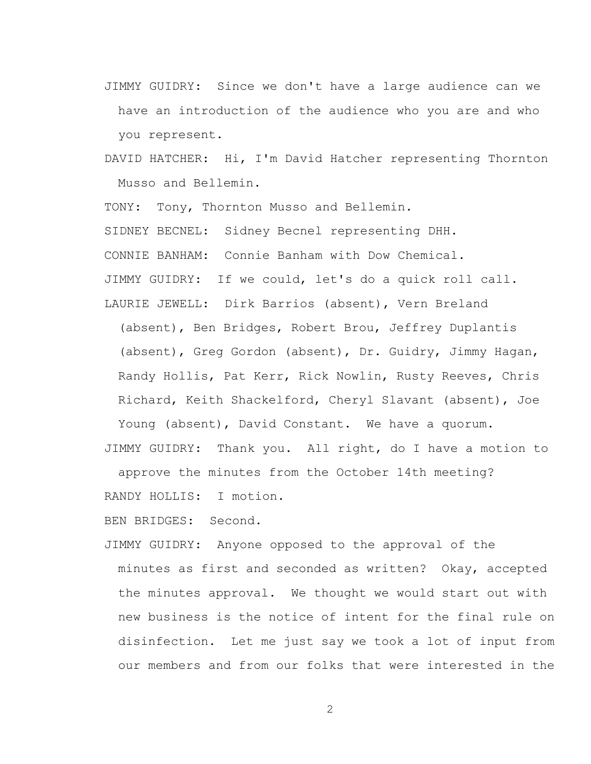- JIMMY GUIDRY: Since we don't have a large audience can we have an introduction of the audience who you are and who you represent.
- DAVID HATCHER: Hi, I'm David Hatcher representing Thornton Musso and Bellemin.

TONY: Tony, Thornton Musso and Bellemin. SIDNEY BECNEL: Sidney Becnel representing DHH. CONNIE BANHAM: Connie Banham with Dow Chemical. JIMMY GUIDRY: If we could, let's do a quick roll call. LAURIE JEWELL: Dirk Barrios (absent), Vern Breland

(absent), Ben Bridges, Robert Brou, Jeffrey Duplantis (absent), Greg Gordon (absent), Dr. Guidry, Jimmy Hagan, Randy Hollis, Pat Kerr, Rick Nowlin, Rusty Reeves, Chris Richard, Keith Shackelford, Cheryl Slavant (absent), Joe

Young (absent), David Constant. We have a quorum. JIMMY GUIDRY: Thank you. All right, do I have a motion to approve the minutes from the October 14th meeting?

RANDY HOLLIS: I motion.

BEN BRIDGES: Second.

JIMMY GUIDRY: Anyone opposed to the approval of the minutes as first and seconded as written? Okay, accepted the minutes approval. We thought we would start out with new business is the notice of intent for the final rule on disinfection. Let me just say we took a lot of input from our members and from our folks that were interested in the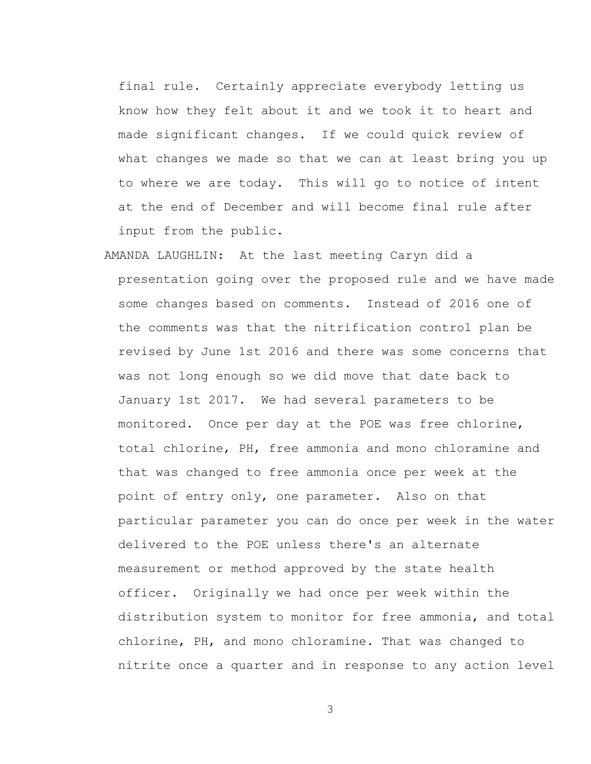final rule. Certainly appreciate everybody letting us know how they felt about it and we took it to heart and made significant changes. If we could quick review of what changes we made so that we can at least bring you up to where we are today. This will go to notice of intent at the end of December and will become final rule after input from the public.

AMANDA LAUGHLIN: At the last meeting Caryn did a presentation going over the proposed rule and we have made some changes based on comments. Instead of 2016 one of the comments was that the nitrification control plan be revised by June 1st 2016 and there was some concerns that was not long enough so we did move that date back to January 1st 2017. We had several parameters to be monitored. Once per day at the POE was free chlorine, total chlorine, PH, free ammonia and mono chloramine and that was changed to free ammonia once per week at the point of entry only, one parameter. Also on that particular parameter you can do once per week in the water delivered to the POE unless there's an alternate measurement or method approved by the state health officer. Originally we had once per week within the distribution system to monitor for free ammonia, and total chlorine, PH, and mono chloramine. That was changed to nitrite once a quarter and in response to any action level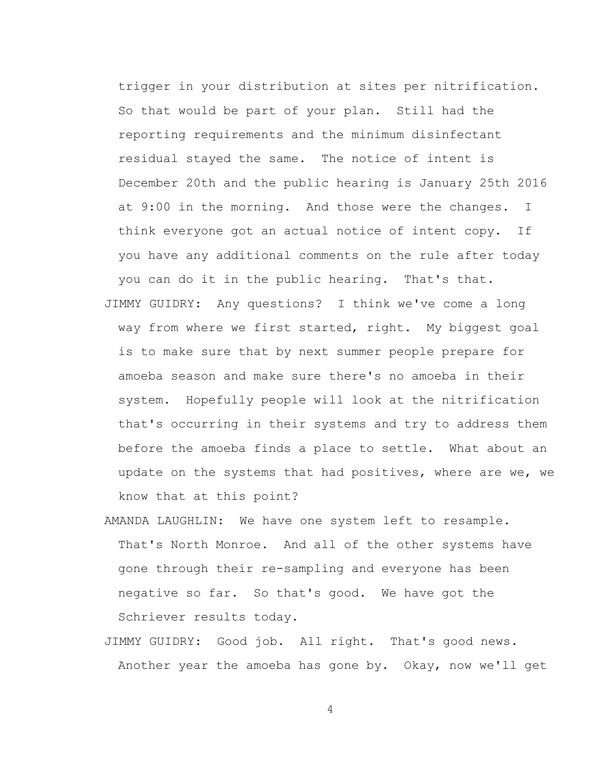trigger in your distribution at sites per nitrification. So that would be part of your plan. Still had the reporting requirements and the minimum disinfectant residual stayed the same. The notice of intent is December 20th and the public hearing is January 25th 2016 at 9:00 in the morning. And those were the changes. I think everyone got an actual notice of intent copy. If you have any additional comments on the rule after today you can do it in the public hearing. That's that.

- JIMMY GUIDRY: Any questions? I think we've come a long way from where we first started, right. My biggest goal is to make sure that by next summer people prepare for amoeba season and make sure there's no amoeba in their system. Hopefully people will look at the nitrification that's occurring in their systems and try to address them before the amoeba finds a place to settle. What about an update on the systems that had positives, where are we, we know that at this point?
- AMANDA LAUGHLIN: We have one system left to resample. That's North Monroe. And all of the other systems have gone through their re-sampling and everyone has been negative so far. So that's good. We have got the Schriever results today.
- JIMMY GUIDRY: Good job. All right. That's good news. Another year the amoeba has gone by. Okay, now we'll get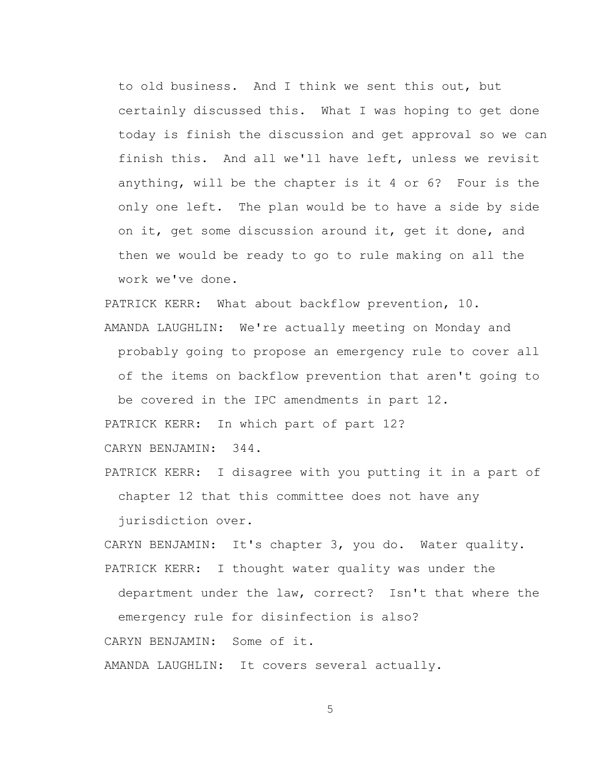to old business. And I think we sent this out, but certainly discussed this. What I was hoping to get done today is finish the discussion and get approval so we can finish this. And all we'll have left, unless we revisit anything, will be the chapter is it 4 or 6? Four is the only one left. The plan would be to have a side by side on it, get some discussion around it, get it done, and then we would be ready to go to rule making on all the work we've done.

PATRICK KERR: What about backflow prevention, 10.

AMANDA LAUGHLIN: We're actually meeting on Monday and probably going to propose an emergency rule to cover all of the items on backflow prevention that aren't going to be covered in the IPC amendments in part 12.

PATRICK KERR: In which part of part 12?

CARYN BENJAMIN: 344.

PATRICK KERR: I disagree with you putting it in a part of chapter 12 that this committee does not have any

jurisdiction over.

CARYN BENJAMIN: It's chapter 3, you do. Water quality. PATRICK KERR: I thought water quality was under the department under the law, correct? Isn't that where the emergency rule for disinfection is also? CARYN BENJAMIN: Some of it.

AMANDA LAUGHLIN: It covers several actually.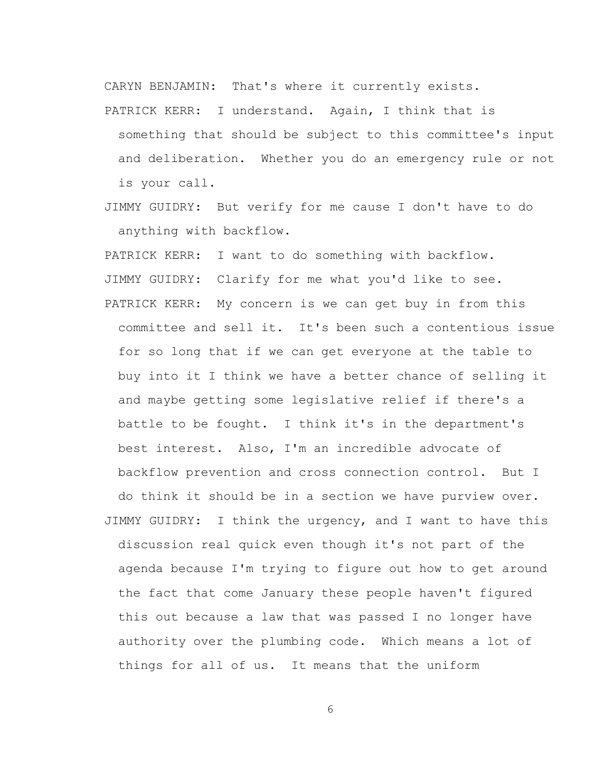CARYN BENJAMIN: That's where it currently exists.

- PATRICK KERR: I understand. Again, I think that is something that should be subject to this committee's input and deliberation. Whether you do an emergency rule or not is your call.
- JIMMY GUIDRY: But verify for me cause I don't have to do anything with backflow.

PATRICK KERR: I want to do something with backflow. JIMMY GUIDRY: Clarify for me what you'd like to see. PATRICK KERR: My concern is we can get buy in from this committee and sell it. It's been such a contentious issue for so long that if we can get everyone at the table to buy into it I think we have a better chance of selling it and maybe getting some legislative relief if there's a battle to be fought. I think it's in the department's best interest. Also, I'm an incredible advocate of backflow prevention and cross connection control. But I do think it should be in a section we have purview over. JIMMY GUIDRY: I think the urgency, and I want to have this discussion real quick even though it's not part of the agenda because I'm trying to figure out how to get around the fact that come January these people haven't figured this out because a law that was passed I no longer have authority over the plumbing code. Which means a lot of things for all of us. It means that the uniform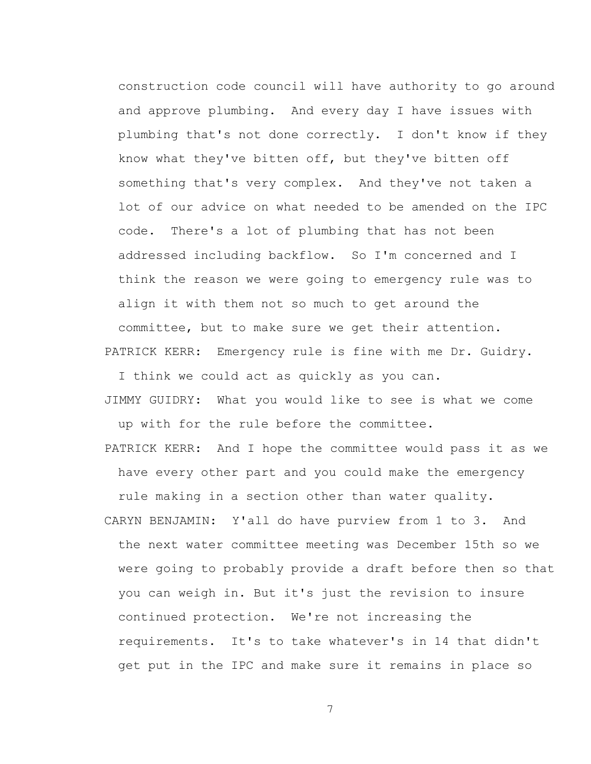construction code council will have authority to go around and approve plumbing. And every day I have issues with plumbing that's not done correctly. I don't know if they know what they've bitten off, but they've bitten off something that's very complex. And they've not taken a lot of our advice on what needed to be amended on the IPC code. There's a lot of plumbing that has not been addressed including backflow. So I'm concerned and I think the reason we were going to emergency rule was to align it with them not so much to get around the committee, but to make sure we get their attention. PATRICK KERR: Emergency rule is fine with me Dr. Guidry.

I think we could act as quickly as you can.

- JIMMY GUIDRY: What you would like to see is what we come up with for the rule before the committee.
- PATRICK KERR: And I hope the committee would pass it as we have every other part and you could make the emergency rule making in a section other than water quality.
- CARYN BENJAMIN: Y'all do have purview from 1 to 3. And the next water committee meeting was December 15th so we were going to probably provide a draft before then so that you can weigh in. But it's just the revision to insure continued protection. We're not increasing the requirements. It's to take whatever's in 14 that didn't get put in the IPC and make sure it remains in place so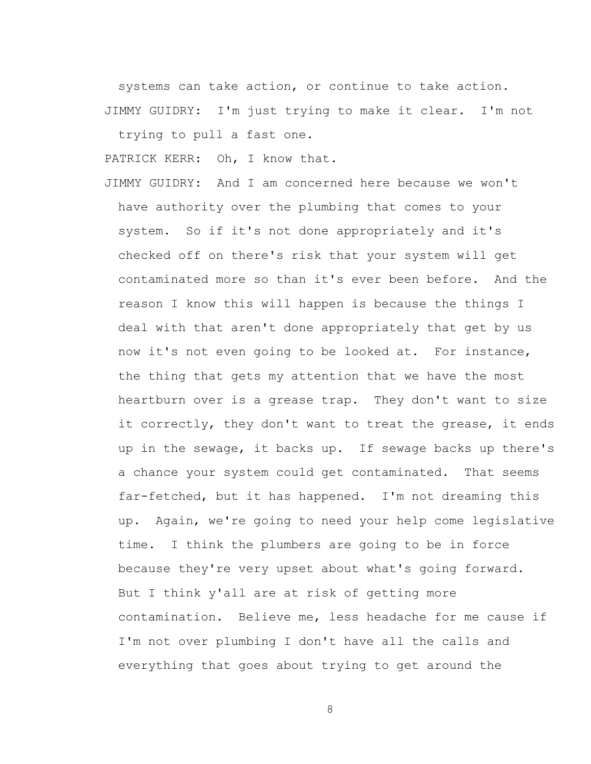systems can take action, or continue to take action. JIMMY GUIDRY: I'm just trying to make it clear. I'm not trying to pull a fast one.

PATRICK KERR: Oh, I know that.

JIMMY GUIDRY: And I am concerned here because we won't have authority over the plumbing that comes to your system. So if it's not done appropriately and it's checked off on there's risk that your system will get contaminated more so than it's ever been before. And the reason I know this will happen is because the things I deal with that aren't done appropriately that get by us now it's not even going to be looked at. For instance, the thing that gets my attention that we have the most heartburn over is a grease trap. They don't want to size it correctly, they don't want to treat the grease, it ends up in the sewage, it backs up. If sewage backs up there's a chance your system could get contaminated. That seems far-fetched, but it has happened. I'm not dreaming this up. Again, we're going to need your help come legislative time. I think the plumbers are going to be in force because they're very upset about what's going forward. But I think y'all are at risk of getting more contamination. Believe me, less headache for me cause if I'm not over plumbing I don't have all the calls and everything that goes about trying to get around the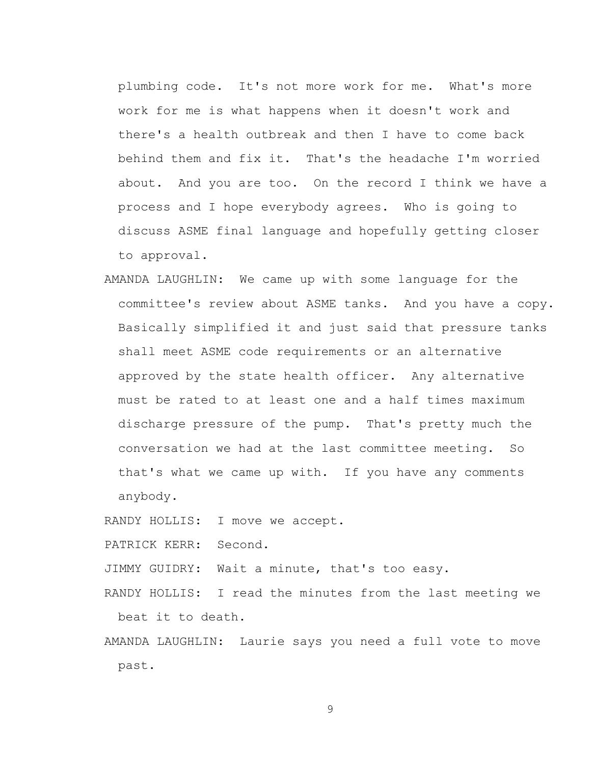plumbing code. It's not more work for me. What's more work for me is what happens when it doesn't work and there's a health outbreak and then I have to come back behind them and fix it. That's the headache I'm worried about. And you are too. On the record I think we have a process and I hope everybody agrees. Who is going to discuss ASME final language and hopefully getting closer to approval.

AMANDA LAUGHLIN: We came up with some language for the committee's review about ASME tanks. And you have a copy. Basically simplified it and just said that pressure tanks shall meet ASME code requirements or an alternative approved by the state health officer. Any alternative must be rated to at least one and a half times maximum discharge pressure of the pump. That's pretty much the conversation we had at the last committee meeting. So that's what we came up with. If you have any comments anybody.

RANDY HOLLIS: I move we accept.

PATRICK KERR: Second.

JIMMY GUIDRY: Wait a minute, that's too easy.

RANDY HOLLIS: I read the minutes from the last meeting we beat it to death.

AMANDA LAUGHLIN: Laurie says you need a full vote to move past.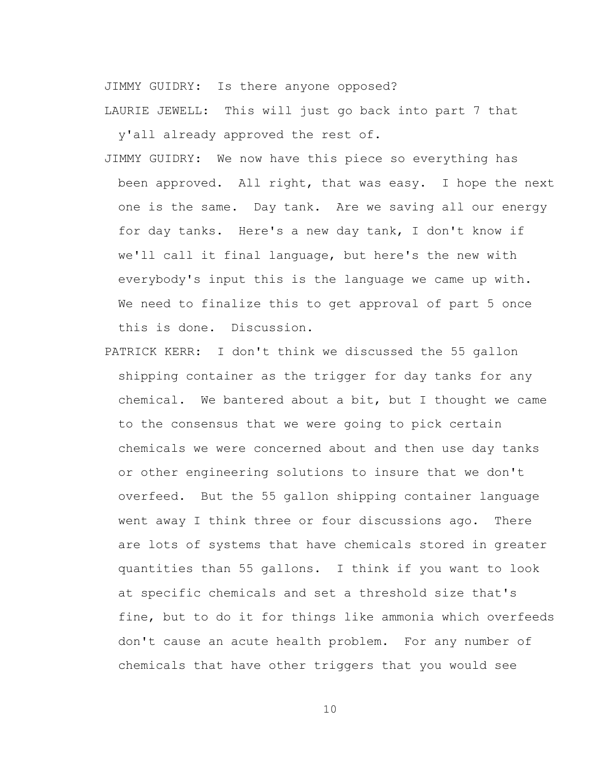JIMMY GUIDRY: Is there anyone opposed?

LAURIE JEWELL: This will just go back into part 7 that

y'all already approved the rest of.

- JIMMY GUIDRY: We now have this piece so everything has been approved. All right, that was easy. I hope the next one is the same. Day tank. Are we saving all our energy for day tanks. Here's a new day tank, I don't know if we'll call it final language, but here's the new with everybody's input this is the language we came up with. We need to finalize this to get approval of part 5 once this is done. Discussion.
- PATRICK KERR: I don't think we discussed the 55 gallon shipping container as the trigger for day tanks for any chemical. We bantered about a bit, but I thought we came to the consensus that we were going to pick certain chemicals we were concerned about and then use day tanks or other engineering solutions to insure that we don't overfeed. But the 55 gallon shipping container language went away I think three or four discussions ago. There are lots of systems that have chemicals stored in greater quantities than 55 gallons. I think if you want to look at specific chemicals and set a threshold size that's fine, but to do it for things like ammonia which overfeeds don't cause an acute health problem. For any number of chemicals that have other triggers that you would see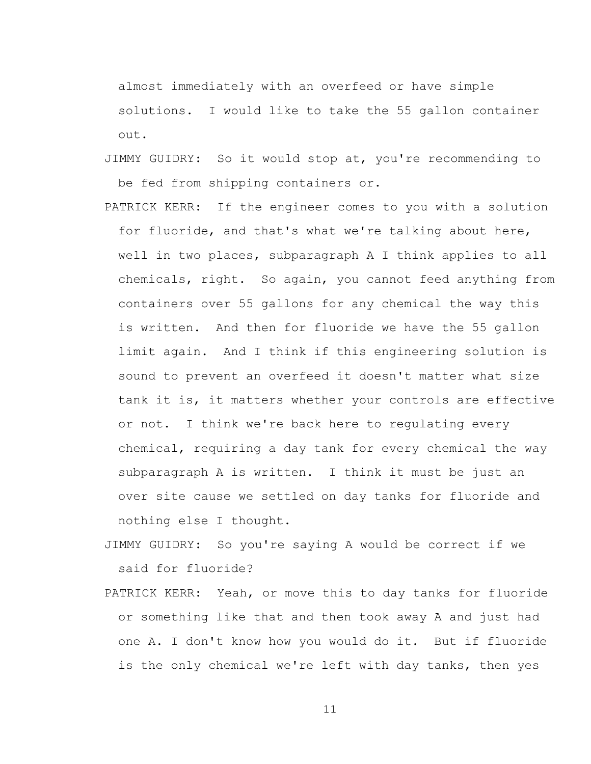almost immediately with an overfeed or have simple solutions. I would like to take the 55 gallon container out.

- JIMMY GUIDRY: So it would stop at, you're recommending to be fed from shipping containers or.
- PATRICK KERR: If the engineer comes to you with a solution for fluoride, and that's what we're talking about here, well in two places, subparagraph A I think applies to all chemicals, right. So again, you cannot feed anything from containers over 55 gallons for any chemical the way this is written. And then for fluoride we have the 55 gallon limit again. And I think if this engineering solution is sound to prevent an overfeed it doesn't matter what size tank it is, it matters whether your controls are effective or not. I think we're back here to regulating every chemical, requiring a day tank for every chemical the way subparagraph A is written. I think it must be just an over site cause we settled on day tanks for fluoride and nothing else I thought.
- JIMMY GUIDRY: So you're saying A would be correct if we said for fluoride?
- PATRICK KERR: Yeah, or move this to day tanks for fluoride or something like that and then took away A and just had one A. I don't know how you would do it. But if fluoride is the only chemical we're left with day tanks, then yes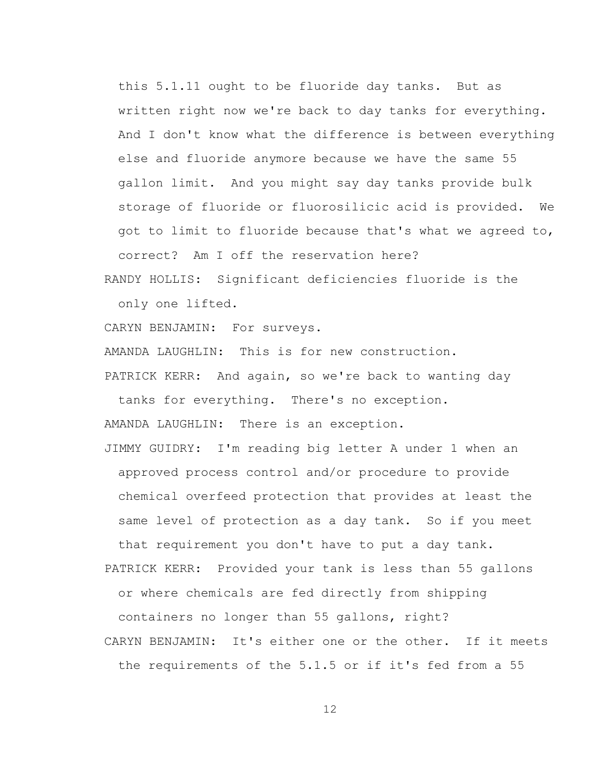this 5.1.11 ought to be fluoride day tanks. But as written right now we're back to day tanks for everything. And I don't know what the difference is between everything else and fluoride anymore because we have the same 55 gallon limit. And you might say day tanks provide bulk storage of fluoride or fluorosilicic acid is provided. We got to limit to fluoride because that's what we agreed to, correct? Am I off the reservation here?

RANDY HOLLIS: Significant deficiencies fluoride is the only one lifted.

CARYN BENJAMIN: For surveys.

AMANDA LAUGHLIN: This is for new construction.

PATRICK KERR: And again, so we're back to wanting day tanks for everything. There's no exception.

AMANDA LAUGHLIN: There is an exception.

JIMMY GUIDRY: I'm reading big letter A under 1 when an approved process control and/or procedure to provide chemical overfeed protection that provides at least the same level of protection as a day tank. So if you meet that requirement you don't have to put a day tank.

PATRICK KERR: Provided your tank is less than 55 gallons or where chemicals are fed directly from shipping containers no longer than 55 gallons, right?

CARYN BENJAMIN: It's either one or the other. If it meets the requirements of the 5.1.5 or if it's fed from a 55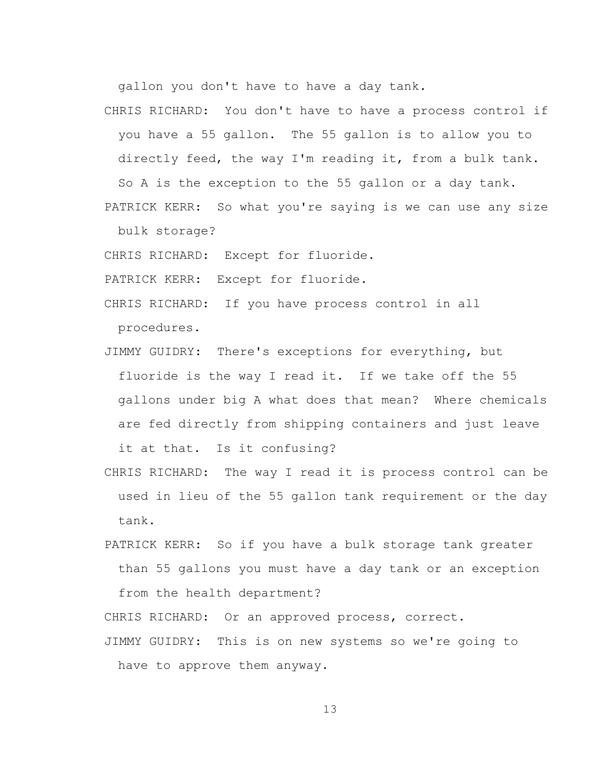gallon you don't have to have a day tank.

CHRIS RICHARD: You don't have to have a process control if you have a 55 gallon. The 55 gallon is to allow you to directly feed, the way I'm reading it, from a bulk tank. So A is the exception to the 55 gallon or a day tank.

PATRICK KERR: So what you're saying is we can use any size bulk storage?

CHRIS RICHARD: Except for fluoride.

PATRICK KERR: Except for fluoride.

- CHRIS RICHARD: If you have process control in all procedures.
- JIMMY GUIDRY: There's exceptions for everything, but fluoride is the way I read it. If we take off the 55 gallons under big A what does that mean? Where chemicals are fed directly from shipping containers and just leave it at that. Is it confusing?
- CHRIS RICHARD: The way I read it is process control can be used in lieu of the 55 gallon tank requirement or the day tank.
- PATRICK KERR: So if you have a bulk storage tank greater than 55 gallons you must have a day tank or an exception from the health department?

CHRIS RICHARD: Or an approved process, correct.

JIMMY GUIDRY: This is on new systems so we're going to have to approve them anyway.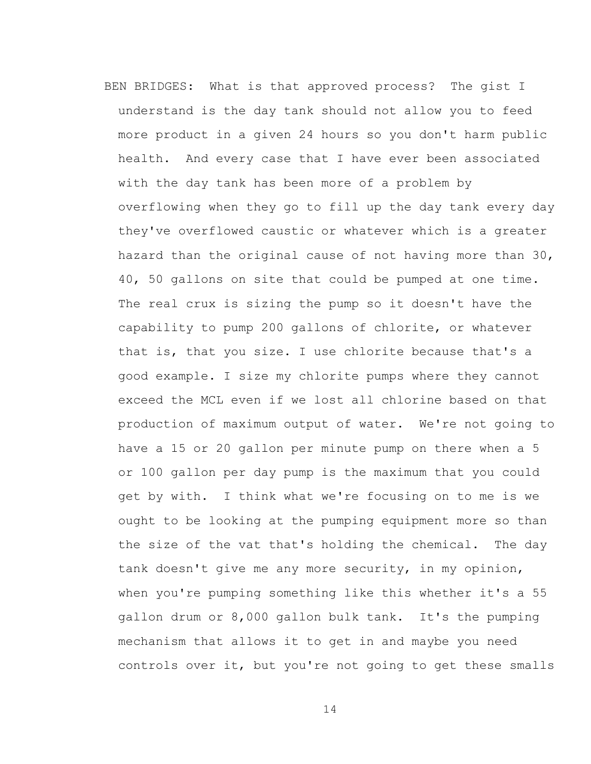BEN BRIDGES: What is that approved process? The gist I understand is the day tank should not allow you to feed more product in a given 24 hours so you don't harm public health. And every case that I have ever been associated with the day tank has been more of a problem by overflowing when they go to fill up the day tank every day they've overflowed caustic or whatever which is a greater hazard than the original cause of not having more than 30, 40, 50 gallons on site that could be pumped at one time. The real crux is sizing the pump so it doesn't have the capability to pump 200 gallons of chlorite, or whatever that is, that you size. I use chlorite because that's a good example. I size my chlorite pumps where they cannot exceed the MCL even if we lost all chlorine based on that production of maximum output of water. We're not going to have a 15 or 20 gallon per minute pump on there when a 5 or 100 gallon per day pump is the maximum that you could get by with. I think what we're focusing on to me is we ought to be looking at the pumping equipment more so than the size of the vat that's holding the chemical. The day tank doesn't give me any more security, in my opinion, when you're pumping something like this whether it's a 55 gallon drum or 8,000 gallon bulk tank. It's the pumping mechanism that allows it to get in and maybe you need controls over it, but you're not going to get these smalls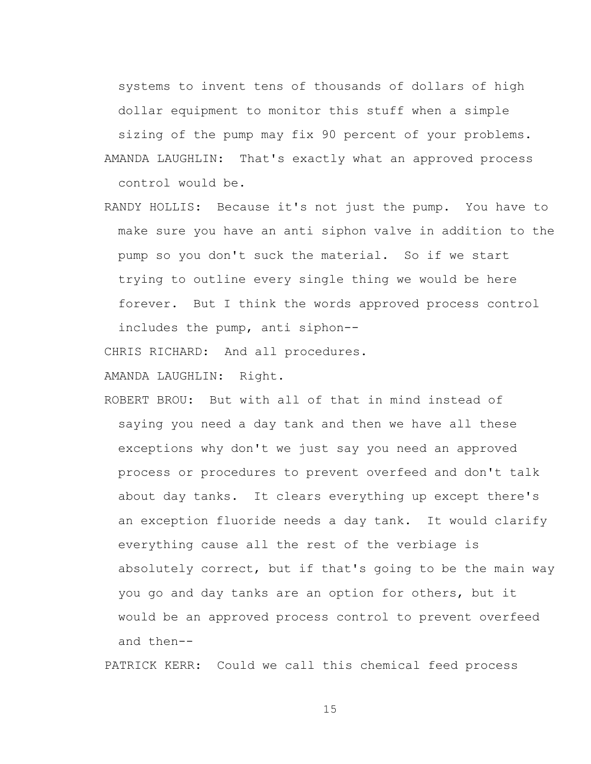systems to invent tens of thousands of dollars of high

dollar equipment to monitor this stuff when a simple

sizing of the pump may fix 90 percent of your problems.

- AMANDA LAUGHLIN: That's exactly what an approved process control would be.
- RANDY HOLLIS: Because it's not just the pump. You have to make sure you have an anti siphon valve in addition to the pump so you don't suck the material. So if we start trying to outline every single thing we would be here forever. But I think the words approved process control includes the pump, anti siphon--

CHRIS RICHARD: And all procedures.

AMANDA LAUGHLIN: Right.

ROBERT BROU: But with all of that in mind instead of saying you need a day tank and then we have all these exceptions why don't we just say you need an approved process or procedures to prevent overfeed and don't talk about day tanks. It clears everything up except there's an exception fluoride needs a day tank. It would clarify everything cause all the rest of the verbiage is absolutely correct, but if that's going to be the main way you go and day tanks are an option for others, but it would be an approved process control to prevent overfeed and then--

PATRICK KERR: Could we call this chemical feed process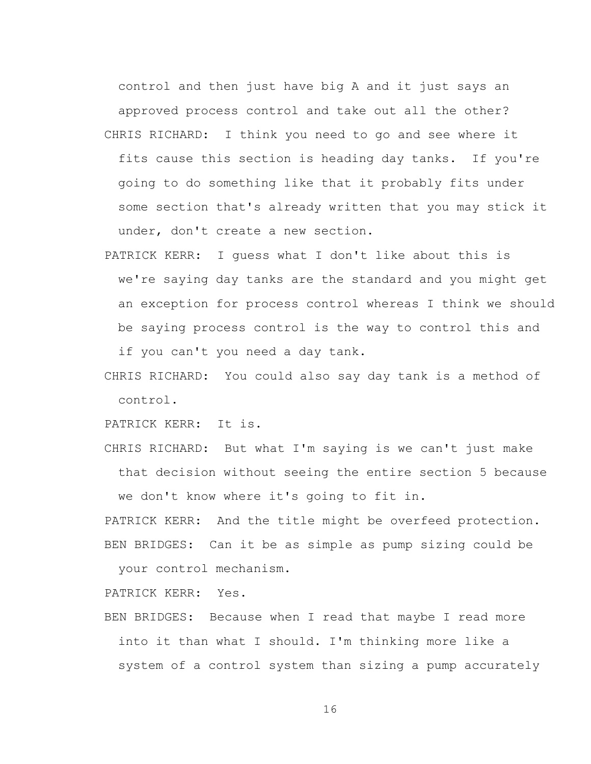control and then just have big A and it just says an approved process control and take out all the other? CHRIS RICHARD: I think you need to go and see where it fits cause this section is heading day tanks. If you're going to do something like that it probably fits under some section that's already written that you may stick it under, don't create a new section.

- PATRICK KERR: I guess what I don't like about this is we're saying day tanks are the standard and you might get an exception for process control whereas I think we should be saying process control is the way to control this and if you can't you need a day tank.
- CHRIS RICHARD: You could also say day tank is a method of control.

PATRICK KERR: It is.

CHRIS RICHARD: But what I'm saying is we can't just make that decision without seeing the entire section 5 because we don't know where it's going to fit in.

PATRICK KERR: And the title might be overfeed protection. BEN BRIDGES: Can it be as simple as pump sizing could be

your control mechanism.

PATRICK KERR: Yes.

BEN BRIDGES: Because when I read that maybe I read more into it than what I should. I'm thinking more like a system of a control system than sizing a pump accurately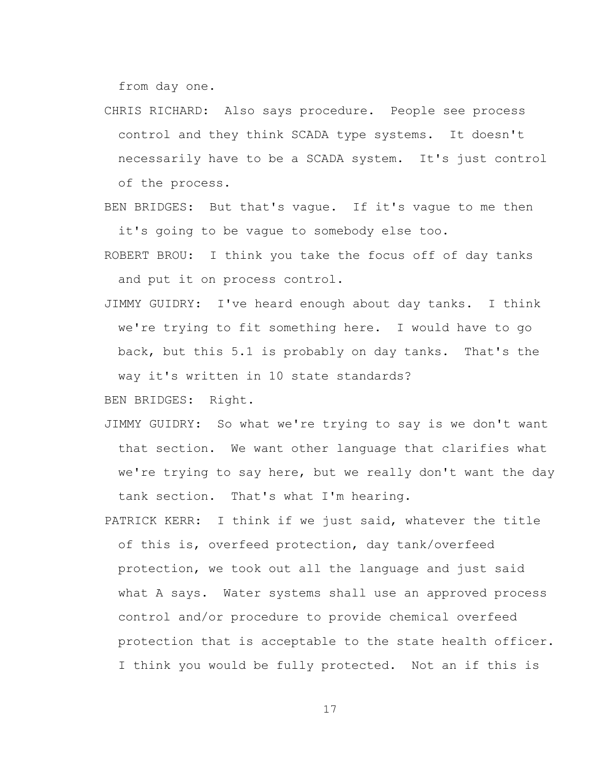from day one.

- CHRIS RICHARD: Also says procedure. People see process control and they think SCADA type systems. It doesn't necessarily have to be a SCADA system. It's just control of the process.
- BEN BRIDGES: But that's vague. If it's vague to me then it's going to be vague to somebody else too.
- ROBERT BROU: I think you take the focus off of day tanks and put it on process control.
- JIMMY GUIDRY: I've heard enough about day tanks. I think we're trying to fit something here. I would have to go back, but this 5.1 is probably on day tanks. That's the way it's written in 10 state standards?

BEN BRIDGES: Right.

- JIMMY GUIDRY: So what we're trying to say is we don't want that section. We want other language that clarifies what we're trying to say here, but we really don't want the day tank section. That's what I'm hearing.
- PATRICK KERR: I think if we just said, whatever the title of this is, overfeed protection, day tank/overfeed protection, we took out all the language and just said what A says. Water systems shall use an approved process control and/or procedure to provide chemical overfeed protection that is acceptable to the state health officer. I think you would be fully protected. Not an if this is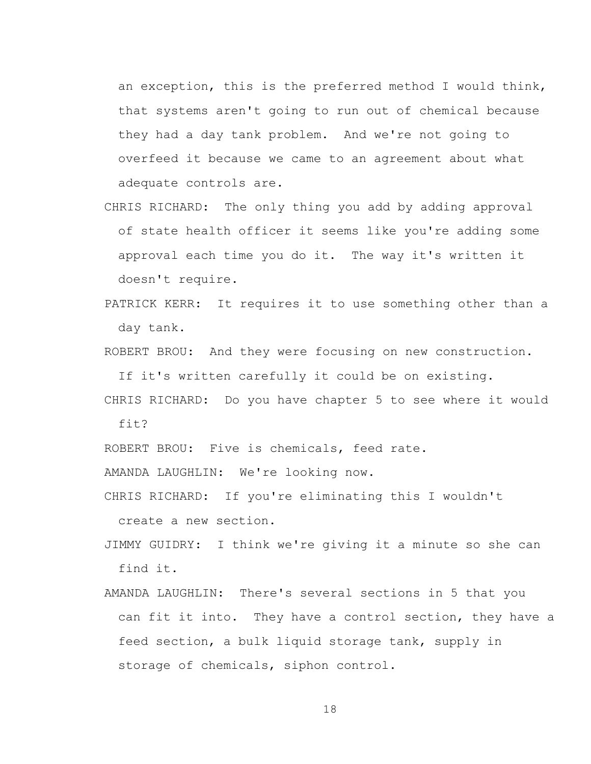an exception, this is the preferred method I would think, that systems aren't going to run out of chemical because they had a day tank problem. And we're not going to overfeed it because we came to an agreement about what adequate controls are.

- CHRIS RICHARD: The only thing you add by adding approval of state health officer it seems like you're adding some approval each time you do it. The way it's written it doesn't require.
- PATRICK KERR: It requires it to use something other than a day tank.

ROBERT BROU: And they were focusing on new construction.

If it's written carefully it could be on existing.

CHRIS RICHARD: Do you have chapter 5 to see where it would fit?

ROBERT BROU: Five is chemicals, feed rate.

AMANDA LAUGHLIN: We're looking now.

CHRIS RICHARD: If you're eliminating this I wouldn't

create a new section.

- JIMMY GUIDRY: I think we're giving it a minute so she can find it.
- AMANDA LAUGHLIN: There's several sections in 5 that you can fit it into. They have a control section, they have a feed section, a bulk liquid storage tank, supply in storage of chemicals, siphon control.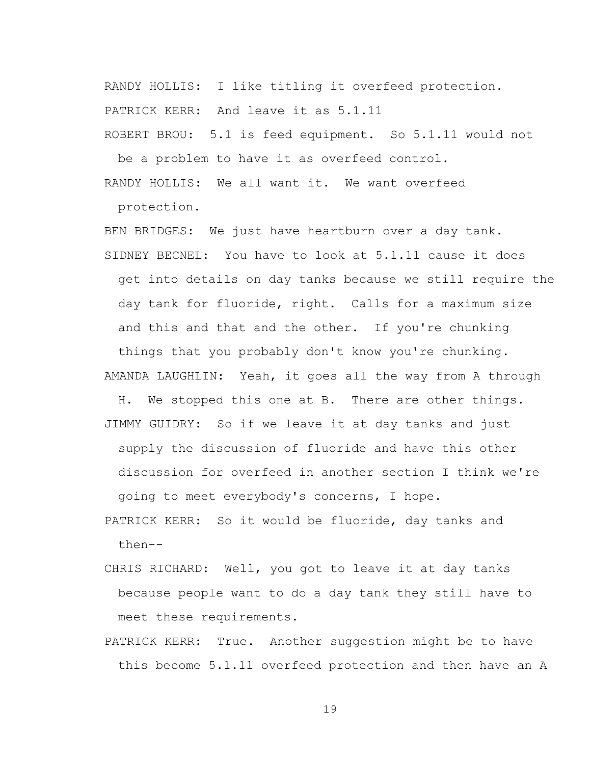RANDY HOLLIS: I like titling it overfeed protection. PATRICK KERR: And leave it as 5.1.11 ROBERT BROU: 5.1 is feed equipment. So 5.1.11 would not

be a problem to have it as overfeed control. RANDY HOLLIS: We all want it. We want overfeed

protection.

BEN BRIDGES: We just have heartburn over a day tank. SIDNEY BECNEL: You have to look at 5.1.11 cause it does get into details on day tanks because we still require the day tank for fluoride, right. Calls for a maximum size and this and that and the other. If you're chunking things that you probably don't know you're chunking.

AMANDA LAUGHLIN: Yeah, it goes all the way from A through

H. We stopped this one at B. There are other things. JIMMY GUIDRY: So if we leave it at day tanks and just supply the discussion of fluoride and have this other discussion for overfeed in another section I think we're going to meet everybody's concerns, I hope.

PATRICK KERR: So it would be fluoride, day tanks and then--

CHRIS RICHARD: Well, you got to leave it at day tanks because people want to do a day tank they still have to meet these requirements.

PATRICK KERR: True. Another suggestion might be to have this become 5.1.11 overfeed protection and then have an A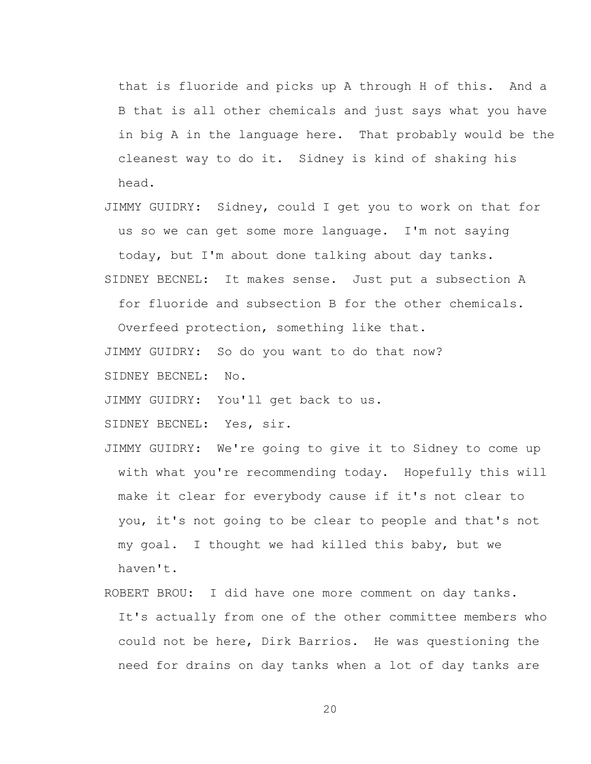that is fluoride and picks up A through H of this. And a B that is all other chemicals and just says what you have in big A in the language here. That probably would be the cleanest way to do it. Sidney is kind of shaking his head.

JIMMY GUIDRY: Sidney, could I get you to work on that for us so we can get some more language. I'm not saying

today, but I'm about done talking about day tanks.

SIDNEY BECNEL: It makes sense. Just put a subsection A

for fluoride and subsection B for the other chemicals.

Overfeed protection, something like that.

JIMMY GUIDRY: So do you want to do that now? SIDNEY BECNEL: No.

JIMMY GUIDRY: You'll get back to us.

SIDNEY BECNEL: Yes, sir.

- JIMMY GUIDRY: We're going to give it to Sidney to come up with what you're recommending today. Hopefully this will make it clear for everybody cause if it's not clear to you, it's not going to be clear to people and that's not my goal. I thought we had killed this baby, but we haven't.
- ROBERT BROU: I did have one more comment on day tanks. It's actually from one of the other committee members who could not be here, Dirk Barrios. He was questioning the need for drains on day tanks when a lot of day tanks are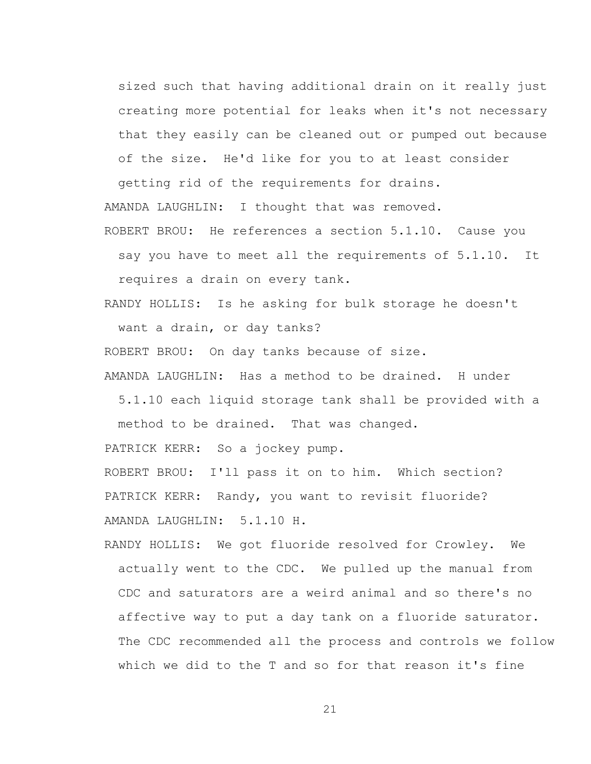sized such that having additional drain on it really just creating more potential for leaks when it's not necessary that they easily can be cleaned out or pumped out because of the size. He'd like for you to at least consider

getting rid of the requirements for drains. AMANDA LAUGHLIN: I thought that was removed. ROBERT BROU: He references a section 5.1.10. Cause you

say you have to meet all the requirements of 5.1.10. It requires a drain on every tank.

RANDY HOLLIS: Is he asking for bulk storage he doesn't want a drain, or day tanks?

ROBERT BROU: On day tanks because of size.

AMANDA LAUGHLIN: Has a method to be drained. H under 5.1.10 each liquid storage tank shall be provided with a method to be drained. That was changed.

PATRICK KERR: So a jockey pump.

ROBERT BROU: I'll pass it on to him. Which section? PATRICK KERR: Randy, you want to revisit fluoride? AMANDA LAUGHLIN: 5.1.10 H.

RANDY HOLLIS: We got fluoride resolved for Crowley. We actually went to the CDC. We pulled up the manual from CDC and saturators are a weird animal and so there's no affective way to put a day tank on a fluoride saturator. The CDC recommended all the process and controls we follow which we did to the T and so for that reason it's fine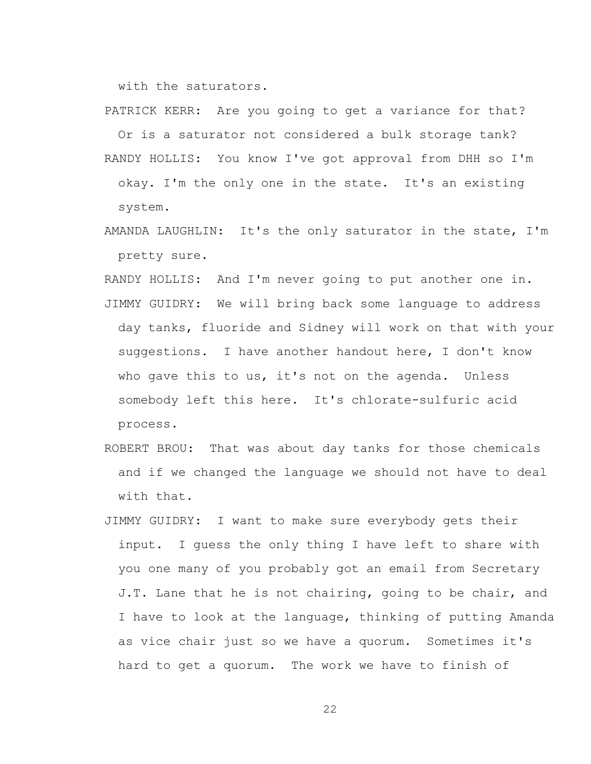with the saturators.

PATRICK KERR: Are you going to get a variance for that? Or is a saturator not considered a bulk storage tank? RANDY HOLLIS: You know I've got approval from DHH so I'm okay. I'm the only one in the state. It's an existing

system.

AMANDA LAUGHLIN: It's the only saturator in the state, I'm pretty sure.

RANDY HOLLIS: And I'm never going to put another one in. JIMMY GUIDRY: We will bring back some language to address day tanks, fluoride and Sidney will work on that with your suggestions. I have another handout here, I don't know who gave this to us, it's not on the agenda. Unless somebody left this here. It's chlorate-sulfuric acid process.

- ROBERT BROU: That was about day tanks for those chemicals and if we changed the language we should not have to deal with that.
- JIMMY GUIDRY: I want to make sure everybody gets their input. I guess the only thing I have left to share with you one many of you probably got an email from Secretary J.T. Lane that he is not chairing, going to be chair, and I have to look at the language, thinking of putting Amanda as vice chair just so we have a quorum. Sometimes it's hard to get a quorum. The work we have to finish of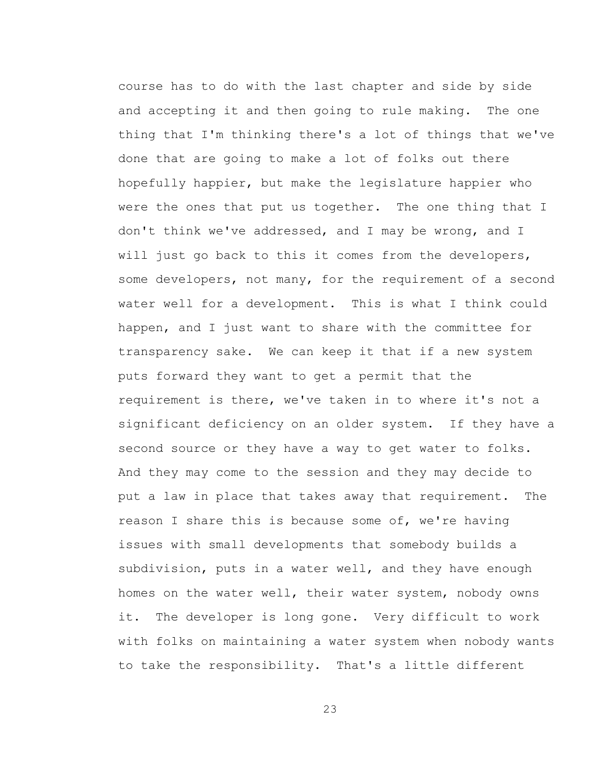course has to do with the last chapter and side by side and accepting it and then going to rule making. The one thing that I'm thinking there's a lot of things that we've done that are going to make a lot of folks out there hopefully happier, but make the legislature happier who were the ones that put us together. The one thing that I don't think we've addressed, and I may be wrong, and I will just go back to this it comes from the developers, some developers, not many, for the requirement of a second water well for a development. This is what I think could happen, and I just want to share with the committee for transparency sake. We can keep it that if a new system puts forward they want to get a permit that the requirement is there, we've taken in to where it's not a significant deficiency on an older system. If they have a second source or they have a way to get water to folks. And they may come to the session and they may decide to put a law in place that takes away that requirement. The reason I share this is because some of, we're having issues with small developments that somebody builds a subdivision, puts in a water well, and they have enough homes on the water well, their water system, nobody owns it. The developer is long gone. Very difficult to work with folks on maintaining a water system when nobody wants to take the responsibility. That's a little different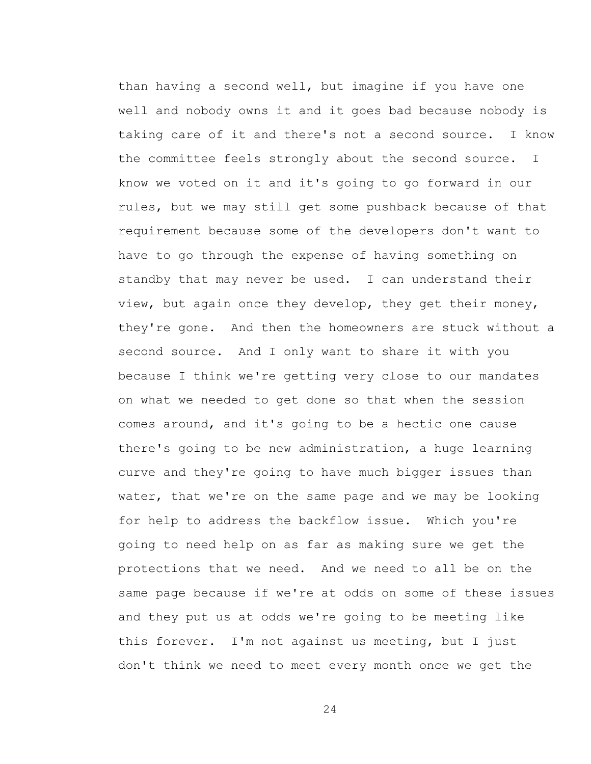than having a second well, but imagine if you have one well and nobody owns it and it goes bad because nobody is taking care of it and there's not a second source. I know the committee feels strongly about the second source. I know we voted on it and it's going to go forward in our rules, but we may still get some pushback because of that requirement because some of the developers don't want to have to go through the expense of having something on standby that may never be used. I can understand their view, but again once they develop, they get their money, they're gone. And then the homeowners are stuck without a second source. And I only want to share it with you because I think we're getting very close to our mandates on what we needed to get done so that when the session comes around, and it's going to be a hectic one cause there's going to be new administration, a huge learning curve and they're going to have much bigger issues than water, that we're on the same page and we may be looking for help to address the backflow issue. Which you're going to need help on as far as making sure we get the protections that we need. And we need to all be on the same page because if we're at odds on some of these issues and they put us at odds we're going to be meeting like this forever. I'm not against us meeting, but I just don't think we need to meet every month once we get the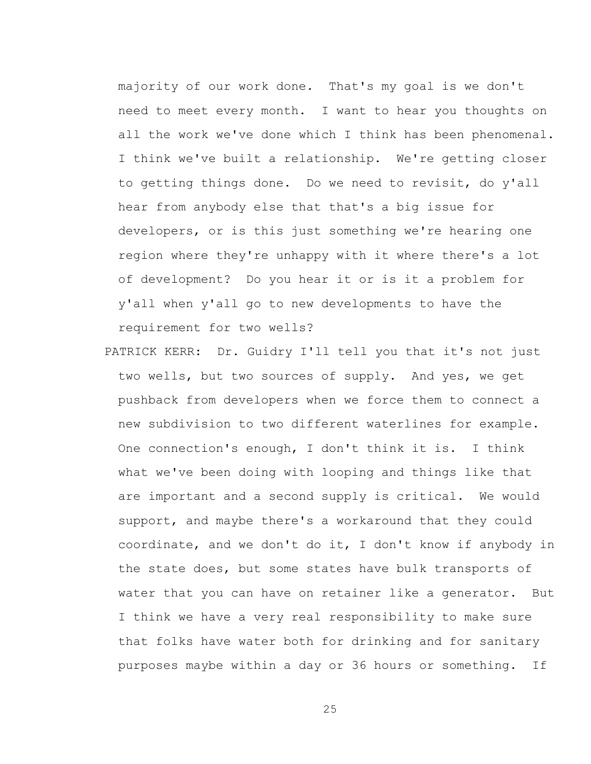majority of our work done. That's my goal is we don't need to meet every month. I want to hear you thoughts on all the work we've done which I think has been phenomenal. I think we've built a relationship. We're getting closer to getting things done. Do we need to revisit, do y'all hear from anybody else that that's a big issue for developers, or is this just something we're hearing one region where they're unhappy with it where there's a lot of development? Do you hear it or is it a problem for y'all when y'all go to new developments to have the requirement for two wells?

PATRICK KERR: Dr. Guidry I'll tell you that it's not just two wells, but two sources of supply. And yes, we get pushback from developers when we force them to connect a new subdivision to two different waterlines for example. One connection's enough, I don't think it is. I think what we've been doing with looping and things like that are important and a second supply is critical. We would support, and maybe there's a workaround that they could coordinate, and we don't do it, I don't know if anybody in the state does, but some states have bulk transports of water that you can have on retainer like a generator. But I think we have a very real responsibility to make sure that folks have water both for drinking and for sanitary purposes maybe within a day or 36 hours or something. If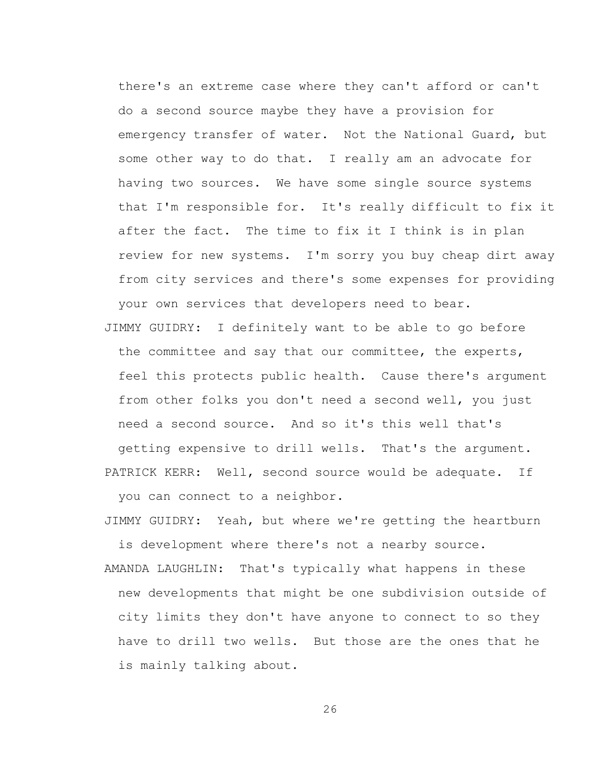there's an extreme case where they can't afford or can't do a second source maybe they have a provision for emergency transfer of water. Not the National Guard, but some other way to do that. I really am an advocate for having two sources. We have some single source systems that I'm responsible for. It's really difficult to fix it after the fact. The time to fix it I think is in plan review for new systems. I'm sorry you buy cheap dirt away from city services and there's some expenses for providing your own services that developers need to bear.

JIMMY GUIDRY: I definitely want to be able to go before the committee and say that our committee, the experts, feel this protects public health. Cause there's argument from other folks you don't need a second well, you just need a second source. And so it's this well that's getting expensive to drill wells. That's the argument. PATRICK KERR: Well, second source would be adequate. If

you can connect to a neighbor.

JIMMY GUIDRY: Yeah, but where we're getting the heartburn is development where there's not a nearby source.

AMANDA LAUGHLIN: That's typically what happens in these new developments that might be one subdivision outside of city limits they don't have anyone to connect to so they have to drill two wells. But those are the ones that he is mainly talking about.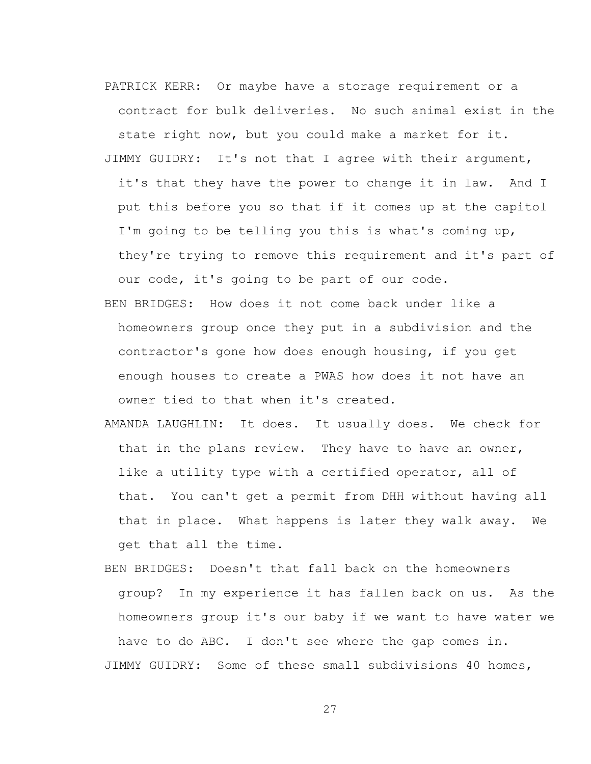PATRICK KERR: Or maybe have a storage requirement or a contract for bulk deliveries. No such animal exist in the state right now, but you could make a market for it. JIMMY GUIDRY: It's not that I agree with their argument, it's that they have the power to change it in law. And I put this before you so that if it comes up at the capitol I'm going to be telling you this is what's coming up, they're trying to remove this requirement and it's part of our code, it's going to be part of our code.

- BEN BRIDGES: How does it not come back under like a homeowners group once they put in a subdivision and the contractor's gone how does enough housing, if you get enough houses to create a PWAS how does it not have an owner tied to that when it's created.
- AMANDA LAUGHLIN: It does. It usually does. We check for that in the plans review. They have to have an owner, like a utility type with a certified operator, all of that. You can't get a permit from DHH without having all that in place. What happens is later they walk away. We get that all the time.
- BEN BRIDGES: Doesn't that fall back on the homeowners group? In my experience it has fallen back on us. As the homeowners group it's our baby if we want to have water we have to do ABC. I don't see where the gap comes in. JIMMY GUIDRY: Some of these small subdivisions 40 homes,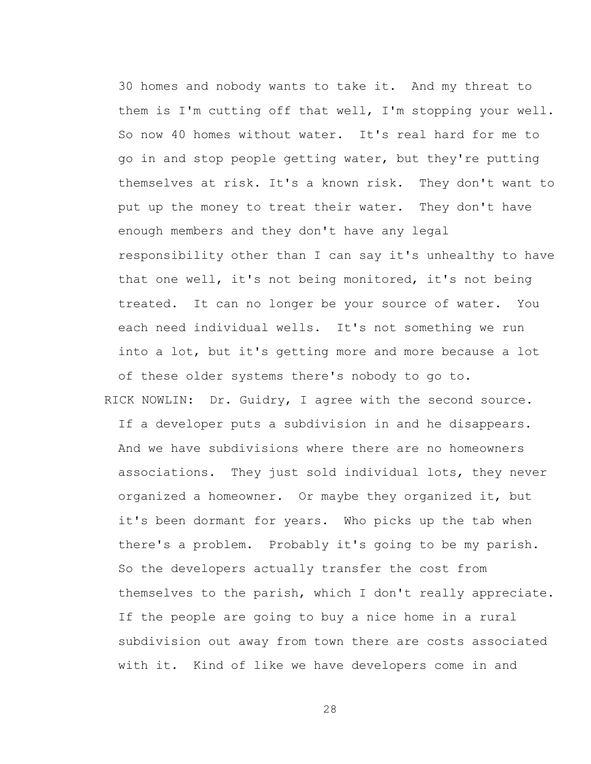30 homes and nobody wants to take it. And my threat to them is I'm cutting off that well, I'm stopping your well. So now 40 homes without water. It's real hard for me to go in and stop people getting water, but they're putting themselves at risk. It's a known risk. They don't want to put up the money to treat their water. They don't have enough members and they don't have any legal responsibility other than I can say it's unhealthy to have that one well, it's not being monitored, it's not being treated. It can no longer be your source of water. You each need individual wells. It's not something we run into a lot, but it's getting more and more because a lot of these older systems there's nobody to go to. RICK NOWLIN: Dr. Guidry, I agree with the second source.

If a developer puts a subdivision in and he disappears. And we have subdivisions where there are no homeowners associations. They just sold individual lots, they never organized a homeowner. Or maybe they organized it, but it's been dormant for years. Who picks up the tab when there's a problem. Probably it's going to be my parish. So the developers actually transfer the cost from themselves to the parish, which I don't really appreciate. If the people are going to buy a nice home in a rural subdivision out away from town there are costs associated with it. Kind of like we have developers come in and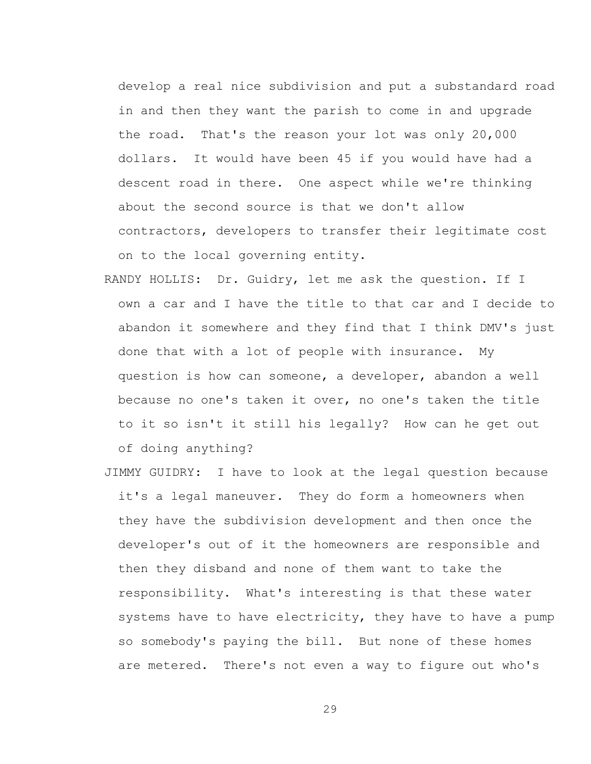develop a real nice subdivision and put a substandard road in and then they want the parish to come in and upgrade the road. That's the reason your lot was only 20,000 dollars. It would have been 45 if you would have had a descent road in there. One aspect while we're thinking about the second source is that we don't allow contractors, developers to transfer their legitimate cost on to the local governing entity.

- RANDY HOLLIS: Dr. Guidry, let me ask the question. If I own a car and I have the title to that car and I decide to abandon it somewhere and they find that I think DMV's just done that with a lot of people with insurance. My question is how can someone, a developer, abandon a well because no one's taken it over, no one's taken the title to it so isn't it still his legally? How can he get out of doing anything?
- JIMMY GUIDRY: I have to look at the legal question because it's a legal maneuver. They do form a homeowners when they have the subdivision development and then once the developer's out of it the homeowners are responsible and then they disband and none of them want to take the responsibility. What's interesting is that these water systems have to have electricity, they have to have a pump so somebody's paying the bill. But none of these homes are metered. There's not even a way to figure out who's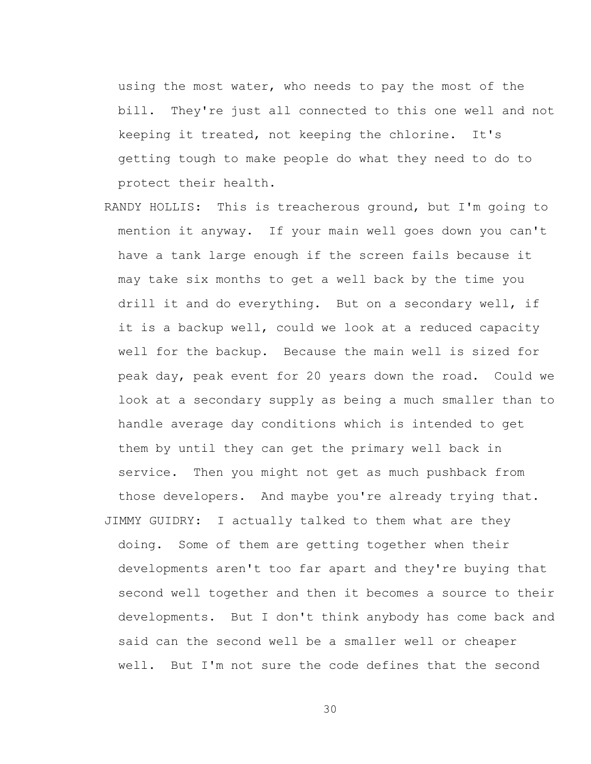using the most water, who needs to pay the most of the bill. They're just all connected to this one well and not keeping it treated, not keeping the chlorine. It's getting tough to make people do what they need to do to protect their health.

- RANDY HOLLIS: This is treacherous ground, but I'm going to mention it anyway. If your main well goes down you can't have a tank large enough if the screen fails because it may take six months to get a well back by the time you drill it and do everything. But on a secondary well, if it is a backup well, could we look at a reduced capacity well for the backup. Because the main well is sized for peak day, peak event for 20 years down the road. Could we look at a secondary supply as being a much smaller than to handle average day conditions which is intended to get them by until they can get the primary well back in service. Then you might not get as much pushback from those developers. And maybe you're already trying that. JIMMY GUIDRY: I actually talked to them what are they
- doing. Some of them are getting together when their developments aren't too far apart and they're buying that second well together and then it becomes a source to their developments. But I don't think anybody has come back and said can the second well be a smaller well or cheaper well. But I'm not sure the code defines that the second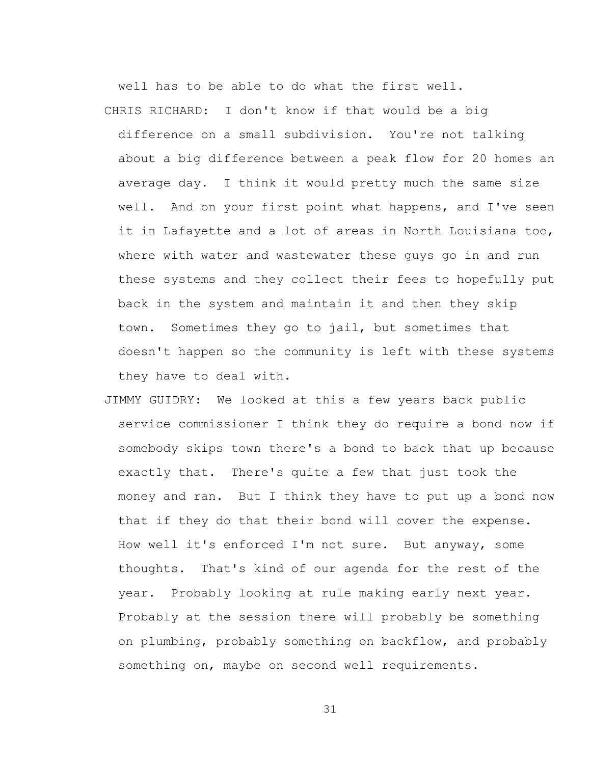well has to be able to do what the first well. CHRIS RICHARD: I don't know if that would be a big

difference on a small subdivision. You're not talking about a big difference between a peak flow for 20 homes an average day. I think it would pretty much the same size well. And on your first point what happens, and I've seen it in Lafayette and a lot of areas in North Louisiana too, where with water and wastewater these guys go in and run these systems and they collect their fees to hopefully put back in the system and maintain it and then they skip town. Sometimes they go to jail, but sometimes that doesn't happen so the community is left with these systems they have to deal with.

JIMMY GUIDRY: We looked at this a few years back public service commissioner I think they do require a bond now if somebody skips town there's a bond to back that up because exactly that. There's quite a few that just took the money and ran. But I think they have to put up a bond now that if they do that their bond will cover the expense. How well it's enforced I'm not sure. But anyway, some thoughts. That's kind of our agenda for the rest of the year. Probably looking at rule making early next year. Probably at the session there will probably be something on plumbing, probably something on backflow, and probably something on, maybe on second well requirements.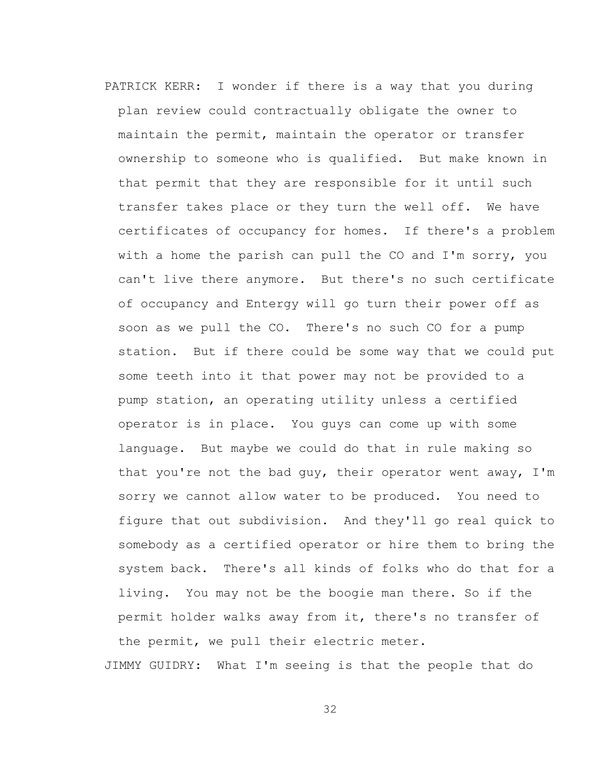PATRICK KERR: I wonder if there is a way that you during plan review could contractually obligate the owner to maintain the permit, maintain the operator or transfer ownership to someone who is qualified. But make known in that permit that they are responsible for it until such transfer takes place or they turn the well off. We have certificates of occupancy for homes. If there's a problem with a home the parish can pull the CO and I'm sorry, you can't live there anymore. But there's no such certificate of occupancy and Entergy will go turn their power off as soon as we pull the CO. There's no such CO for a pump station. But if there could be some way that we could put some teeth into it that power may not be provided to a pump station, an operating utility unless a certified operator is in place. You guys can come up with some language. But maybe we could do that in rule making so that you're not the bad guy, their operator went away, I'm sorry we cannot allow water to be produced. You need to figure that out subdivision. And they'll go real quick to somebody as a certified operator or hire them to bring the system back. There's all kinds of folks who do that for a living. You may not be the boogie man there. So if the permit holder walks away from it, there's no transfer of the permit, we pull their electric meter.

JIMMY GUIDRY: What I'm seeing is that the people that do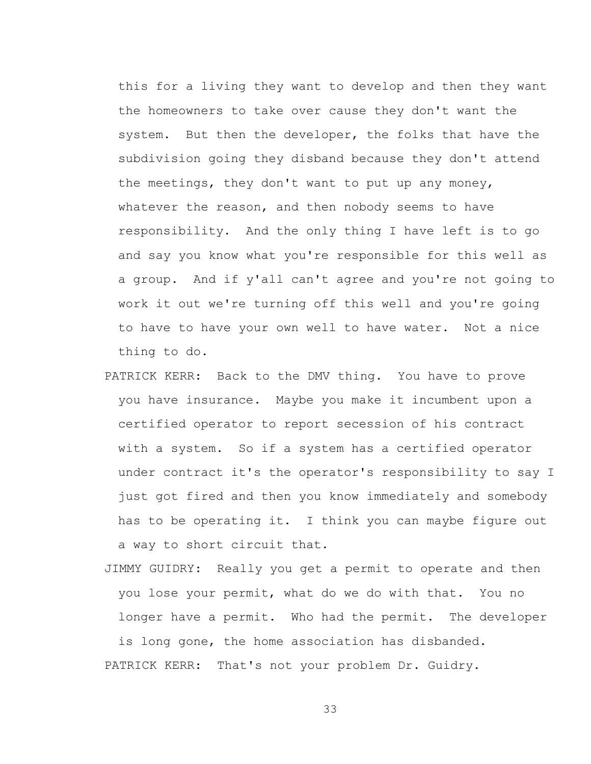this for a living they want to develop and then they want the homeowners to take over cause they don't want the system. But then the developer, the folks that have the subdivision going they disband because they don't attend the meetings, they don't want to put up any money, whatever the reason, and then nobody seems to have responsibility. And the only thing I have left is to go and say you know what you're responsible for this well as a group. And if y'all can't agree and you're not going to work it out we're turning off this well and you're going to have to have your own well to have water. Not a nice thing to do.

- PATRICK KERR: Back to the DMV thing. You have to prove you have insurance. Maybe you make it incumbent upon a certified operator to report secession of his contract with a system. So if a system has a certified operator under contract it's the operator's responsibility to say I just got fired and then you know immediately and somebody has to be operating it. I think you can maybe figure out a way to short circuit that.
- JIMMY GUIDRY: Really you get a permit to operate and then you lose your permit, what do we do with that. You no longer have a permit. Who had the permit. The developer is long gone, the home association has disbanded. PATRICK KERR: That's not your problem Dr. Guidry.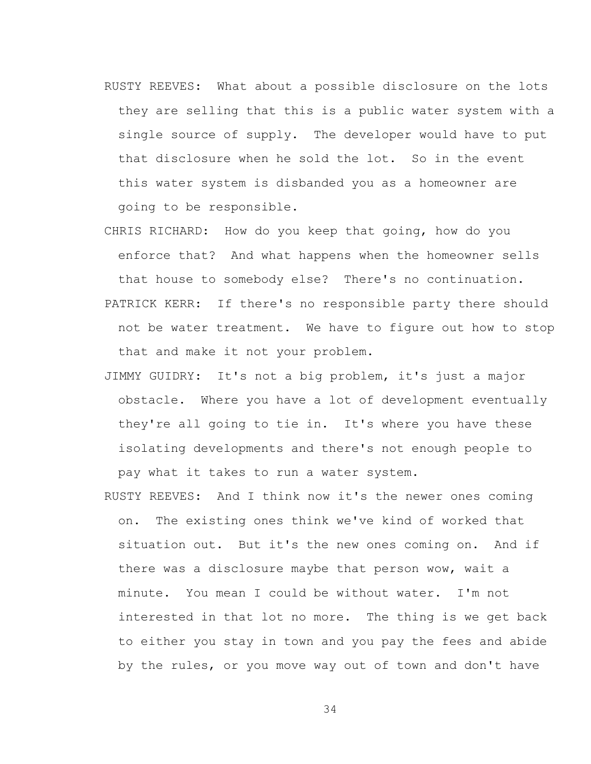- RUSTY REEVES: What about a possible disclosure on the lots they are selling that this is a public water system with a single source of supply. The developer would have to put that disclosure when he sold the lot. So in the event this water system is disbanded you as a homeowner are going to be responsible.
- CHRIS RICHARD: How do you keep that going, how do you enforce that? And what happens when the homeowner sells that house to somebody else? There's no continuation. PATRICK KERR: If there's no responsible party there should not be water treatment. We have to figure out how to stop that and make it not your problem.
- JIMMY GUIDRY: It's not a big problem, it's just a major obstacle. Where you have a lot of development eventually they're all going to tie in. It's where you have these isolating developments and there's not enough people to pay what it takes to run a water system.
- RUSTY REEVES: And I think now it's the newer ones coming on. The existing ones think we've kind of worked that situation out. But it's the new ones coming on. And if there was a disclosure maybe that person wow, wait a minute. You mean I could be without water. I'm not interested in that lot no more. The thing is we get back to either you stay in town and you pay the fees and abide by the rules, or you move way out of town and don't have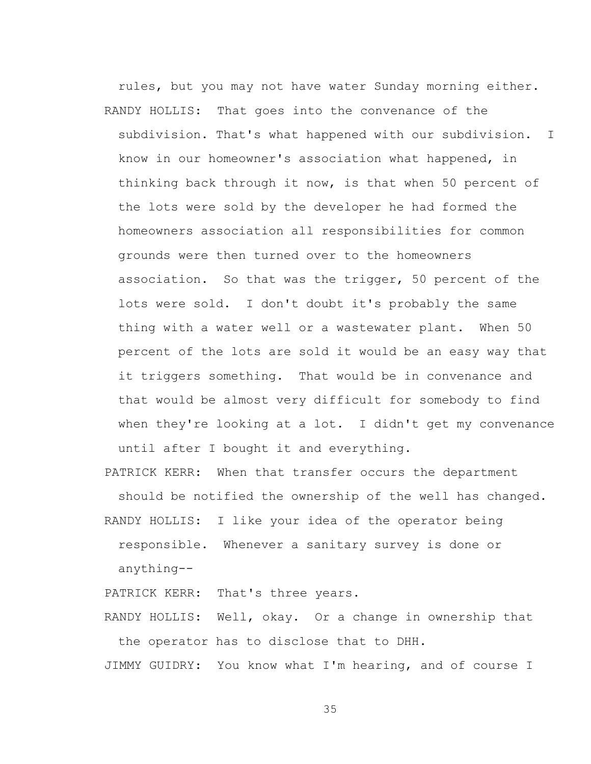rules, but you may not have water Sunday morning either. RANDY HOLLIS: That goes into the convenance of the subdivision. That's what happened with our subdivision. I know in our homeowner's association what happened, in thinking back through it now, is that when 50 percent of the lots were sold by the developer he had formed the homeowners association all responsibilities for common grounds were then turned over to the homeowners association. So that was the trigger, 50 percent of the lots were sold. I don't doubt it's probably the same thing with a water well or a wastewater plant. When 50 percent of the lots are sold it would be an easy way that it triggers something. That would be in convenance and that would be almost very difficult for somebody to find when they're looking at a lot. I didn't get my convenance until after I bought it and everything.

PATRICK KERR: When that transfer occurs the department should be notified the ownership of the well has changed.

RANDY HOLLIS: I like your idea of the operator being responsible. Whenever a sanitary survey is done or anything--

PATRICK KERR: That's three years.

RANDY HOLLIS: Well, okay. Or a change in ownership that the operator has to disclose that to DHH.

JIMMY GUIDRY: You know what I'm hearing, and of course I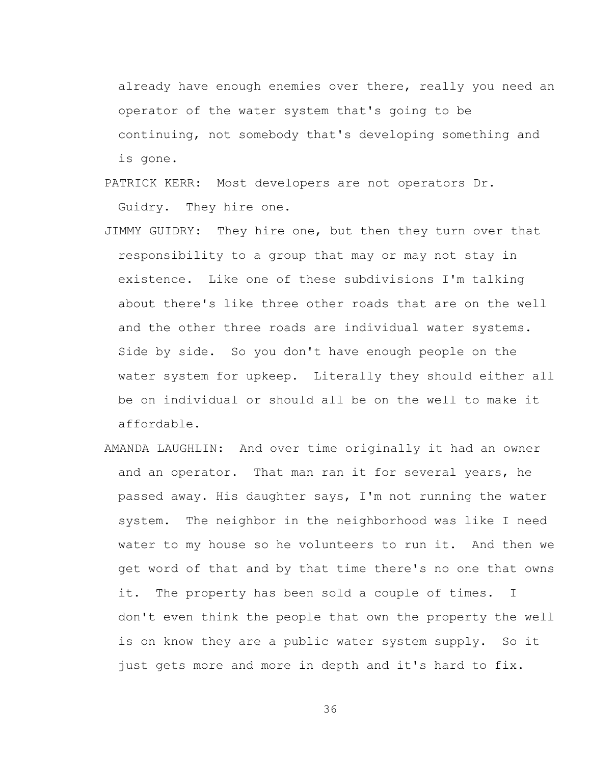already have enough enemies over there, really you need an operator of the water system that's going to be continuing, not somebody that's developing something and is gone.

- PATRICK KERR: Most developers are not operators Dr. Guidry. They hire one.
- JIMMY GUIDRY: They hire one, but then they turn over that responsibility to a group that may or may not stay in existence. Like one of these subdivisions I'm talking about there's like three other roads that are on the well and the other three roads are individual water systems. Side by side. So you don't have enough people on the water system for upkeep. Literally they should either all be on individual or should all be on the well to make it affordable.
- AMANDA LAUGHLIN: And over time originally it had an owner and an operator. That man ran it for several years, he passed away. His daughter says, I'm not running the water system. The neighbor in the neighborhood was like I need water to my house so he volunteers to run it. And then we get word of that and by that time there's no one that owns it. The property has been sold a couple of times. I don't even think the people that own the property the well is on know they are a public water system supply. So it just gets more and more in depth and it's hard to fix.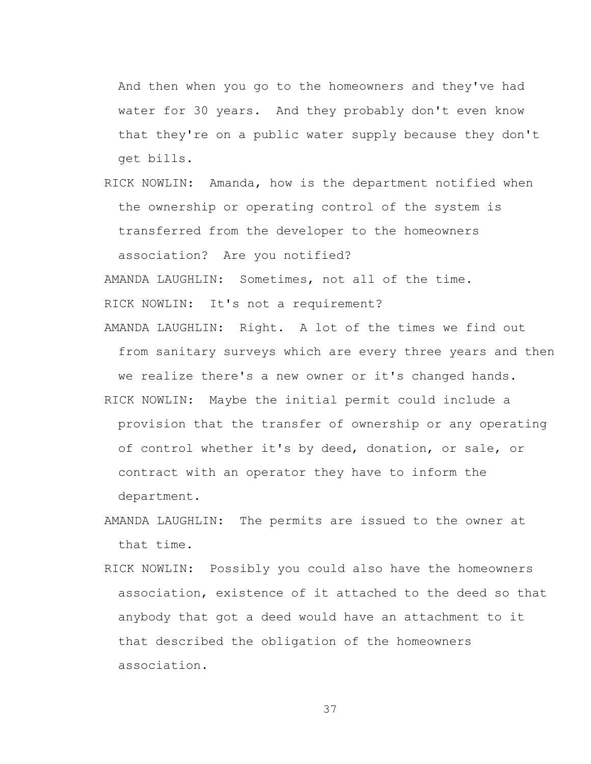And then when you go to the homeowners and they've had water for 30 years. And they probably don't even know that they're on a public water supply because they don't get bills.

RICK NOWLIN: Amanda, how is the department notified when the ownership or operating control of the system is transferred from the developer to the homeowners association? Are you notified?

AMANDA LAUGHLIN: Sometimes, not all of the time.

RICK NOWLIN: It's not a requirement?

AMANDA LAUGHLIN: Right. A lot of the times we find out from sanitary surveys which are every three years and then we realize there's a new owner or it's changed hands.

- RICK NOWLIN: Maybe the initial permit could include a provision that the transfer of ownership or any operating of control whether it's by deed, donation, or sale, or contract with an operator they have to inform the department.
- AMANDA LAUGHLIN: The permits are issued to the owner at that time.
- RICK NOWLIN: Possibly you could also have the homeowners association, existence of it attached to the deed so that anybody that got a deed would have an attachment to it that described the obligation of the homeowners association.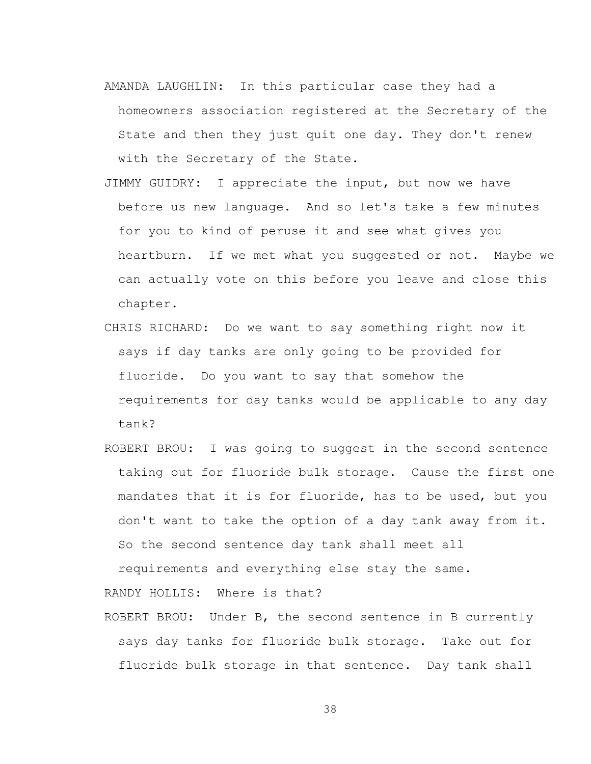- AMANDA LAUGHLIN: In this particular case they had a homeowners association registered at the Secretary of the State and then they just quit one day. They don't renew with the Secretary of the State.
- JIMMY GUIDRY: I appreciate the input, but now we have before us new language. And so let's take a few minutes for you to kind of peruse it and see what gives you heartburn. If we met what you suggested or not. Maybe we can actually vote on this before you leave and close this chapter.
- CHRIS RICHARD: Do we want to say something right now it says if day tanks are only going to be provided for fluoride. Do you want to say that somehow the requirements for day tanks would be applicable to any day tank?
- ROBERT BROU: I was going to suggest in the second sentence taking out for fluoride bulk storage. Cause the first one mandates that it is for fluoride, has to be used, but you don't want to take the option of a day tank away from it. So the second sentence day tank shall meet all

requirements and everything else stay the same.

RANDY HOLLIS: Where is that?

ROBERT BROU: Under B, the second sentence in B currently says day tanks for fluoride bulk storage. Take out for fluoride bulk storage in that sentence. Day tank shall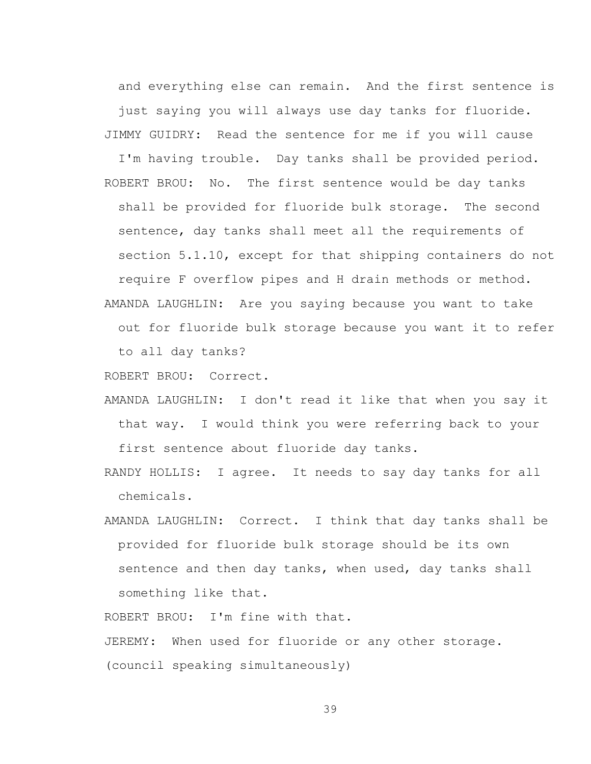and everything else can remain. And the first sentence is just saying you will always use day tanks for fluoride. JIMMY GUIDRY: Read the sentence for me if you will cause

I'm having trouble. Day tanks shall be provided period. ROBERT BROU: No. The first sentence would be day tanks shall be provided for fluoride bulk storage. The second sentence, day tanks shall meet all the requirements of section 5.1.10, except for that shipping containers do not require F overflow pipes and H drain methods or method. AMANDA LAUGHLIN: Are you saying because you want to take

out for fluoride bulk storage because you want it to refer to all day tanks?

ROBERT BROU: Correct.

- AMANDA LAUGHLIN: I don't read it like that when you say it that way. I would think you were referring back to your first sentence about fluoride day tanks.
- RANDY HOLLIS: I agree. It needs to say day tanks for all chemicals.
- AMANDA LAUGHLIN: Correct. I think that day tanks shall be provided for fluoride bulk storage should be its own sentence and then day tanks, when used, day tanks shall something like that.

ROBERT BROU: I'm fine with that.

JEREMY: When used for fluoride or any other storage.

(council speaking simultaneously)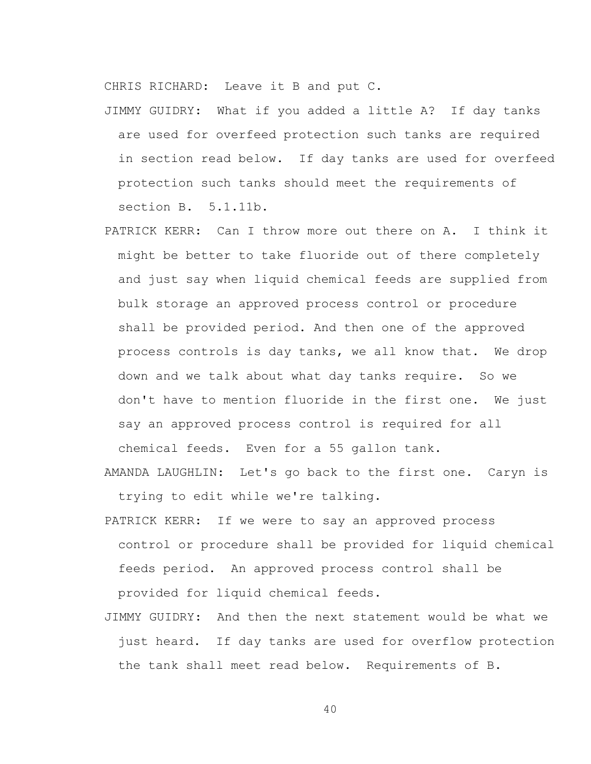CHRIS RICHARD: Leave it B and put C.

- JIMMY GUIDRY: What if you added a little A? If day tanks are used for overfeed protection such tanks are required in section read below. If day tanks are used for overfeed protection such tanks should meet the requirements of section B. 5.1.11b.
- PATRICK KERR: Can I throw more out there on A. I think it might be better to take fluoride out of there completely and just say when liquid chemical feeds are supplied from bulk storage an approved process control or procedure shall be provided period. And then one of the approved process controls is day tanks, we all know that. We drop down and we talk about what day tanks require. So we don't have to mention fluoride in the first one. We just say an approved process control is required for all

chemical feeds. Even for a 55 gallon tank.

- AMANDA LAUGHLIN: Let's go back to the first one. Caryn is trying to edit while we're talking.
- PATRICK KERR: If we were to say an approved process control or procedure shall be provided for liquid chemical feeds period. An approved process control shall be provided for liquid chemical feeds.
- JIMMY GUIDRY: And then the next statement would be what we just heard. If day tanks are used for overflow protection the tank shall meet read below. Requirements of B.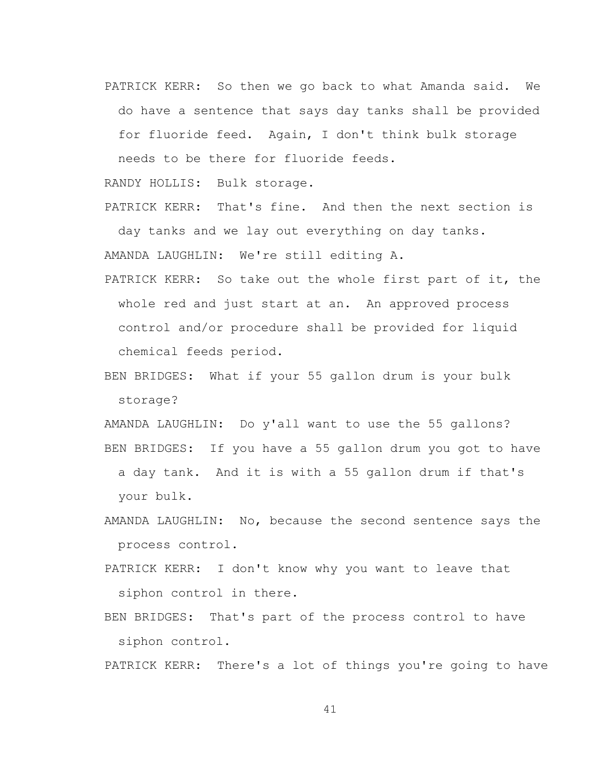PATRICK KERR: So then we go back to what Amanda said. We do have a sentence that says day tanks shall be provided for fluoride feed. Again, I don't think bulk storage

needs to be there for fluoride feeds.

RANDY HOLLIS: Bulk storage.

PATRICK KERR: That's fine. And then the next section is day tanks and we lay out everything on day tanks. AMANDA LAUGHLIN: We're still editing A.

- PATRICK KERR: So take out the whole first part of it, the whole red and just start at an. An approved process control and/or procedure shall be provided for liquid chemical feeds period.
- BEN BRIDGES: What if your 55 gallon drum is your bulk storage?

AMANDA LAUGHLIN: Do y'all want to use the 55 gallons? BEN BRIDGES: If you have a 55 gallon drum you got to have a day tank. And it is with a 55 gallon drum if that's your bulk.

- AMANDA LAUGHLIN: No, because the second sentence says the process control.
- PATRICK KERR: I don't know why you want to leave that siphon control in there.
- BEN BRIDGES: That's part of the process control to have siphon control.

PATRICK KERR: There's a lot of things you're going to have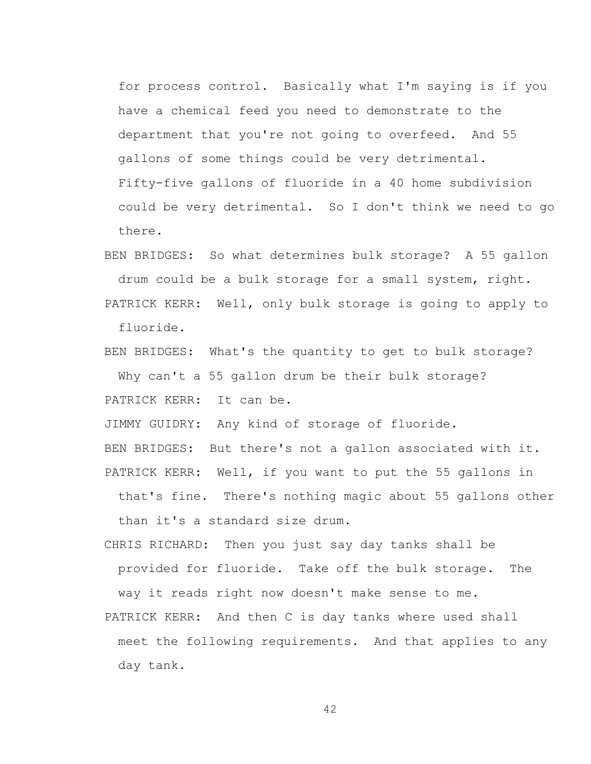for process control. Basically what I'm saying is if you have a chemical feed you need to demonstrate to the department that you're not going to overfeed. And 55 gallons of some things could be very detrimental. Fifty-five gallons of fluoride in a 40 home subdivision could be very detrimental. So I don't think we need to go there.

BEN BRIDGES: So what determines bulk storage? A 55 gallon drum could be a bulk storage for a small system, right.

PATRICK KERR: Well, only bulk storage is going to apply to fluoride.

BEN BRIDGES: What's the quantity to get to bulk storage? Why can't a 55 gallon drum be their bulk storage? PATRICK KERR: It can be.

JIMMY GUIDRY: Any kind of storage of fluoride.

BEN BRIDGES: But there's not a gallon associated with it. PATRICK KERR: Well, if you want to put the 55 gallons in

that's fine. There's nothing magic about 55 gallons other than it's a standard size drum.

CHRIS RICHARD: Then you just say day tanks shall be provided for fluoride. Take off the bulk storage. The

way it reads right now doesn't make sense to me.

PATRICK KERR: And then C is day tanks where used shall meet the following requirements. And that applies to any day tank.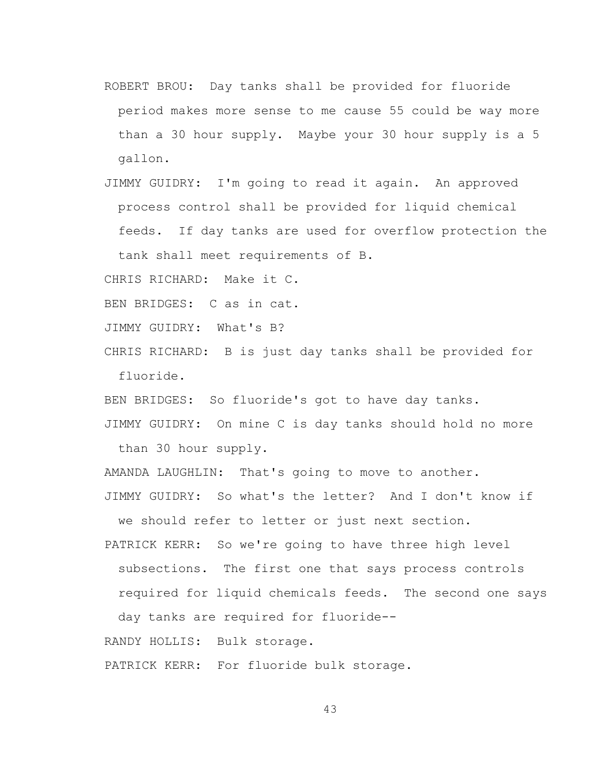- ROBERT BROU: Day tanks shall be provided for fluoride period makes more sense to me cause 55 could be way more than a 30 hour supply. Maybe your 30 hour supply is a 5 gallon.
- JIMMY GUIDRY: I'm going to read it again. An approved process control shall be provided for liquid chemical feeds. If day tanks are used for overflow protection the tank shall meet requirements of B.

CHRIS RICHARD: Make it C.

BEN BRIDGES: C as in cat.

JIMMY GUIDRY: What's B?

CHRIS RICHARD: B is just day tanks shall be provided for fluoride.

BEN BRIDGES: So fluoride's got to have day tanks.

JIMMY GUIDRY: On mine C is day tanks should hold no more than 30 hour supply.

AMANDA LAUGHLIN: That's going to move to another.

JIMMY GUIDRY: So what's the letter? And I don't know if we should refer to letter or just next section.

PATRICK KERR: So we're going to have three high level subsections. The first one that says process controls required for liquid chemicals feeds. The second one says day tanks are required for fluoride--

RANDY HOLLIS: Bulk storage.

PATRICK KERR: For fluoride bulk storage.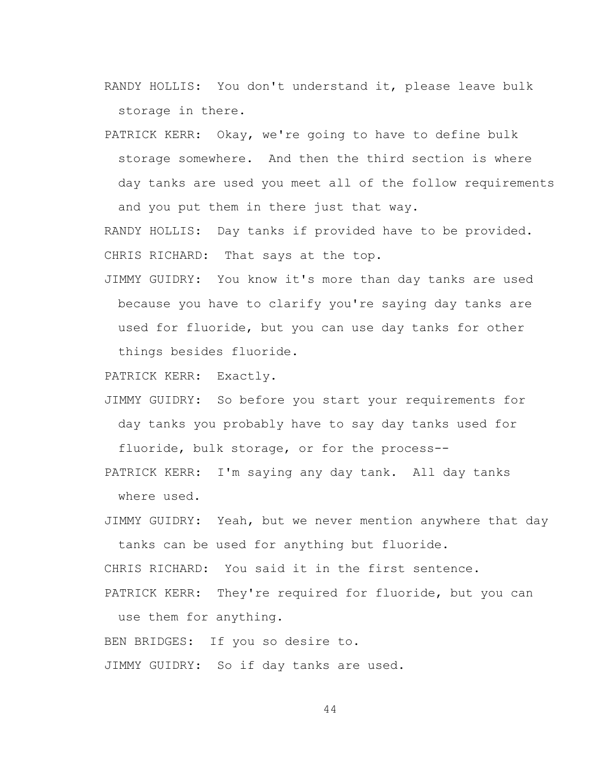- RANDY HOLLIS: You don't understand it, please leave bulk storage in there.
- PATRICK KERR: Okay, we're going to have to define bulk storage somewhere. And then the third section is where day tanks are used you meet all of the follow requirements and you put them in there just that way.

RANDY HOLLIS: Day tanks if provided have to be provided. CHRIS RICHARD: That says at the top.

JIMMY GUIDRY: You know it's more than day tanks are used because you have to clarify you're saying day tanks are used for fluoride, but you can use day tanks for other things besides fluoride.

PATRICK KERR: Exactly.

- JIMMY GUIDRY: So before you start your requirements for day tanks you probably have to say day tanks used for fluoride, bulk storage, or for the process--
- PATRICK KERR: I'm saying any day tank. All day tanks where used.
- JIMMY GUIDRY: Yeah, but we never mention anywhere that day tanks can be used for anything but fluoride.

CHRIS RICHARD: You said it in the first sentence.

PATRICK KERR: They're required for fluoride, but you can use them for anything.

BEN BRIDGES: If you so desire to.

JIMMY GUIDRY: So if day tanks are used.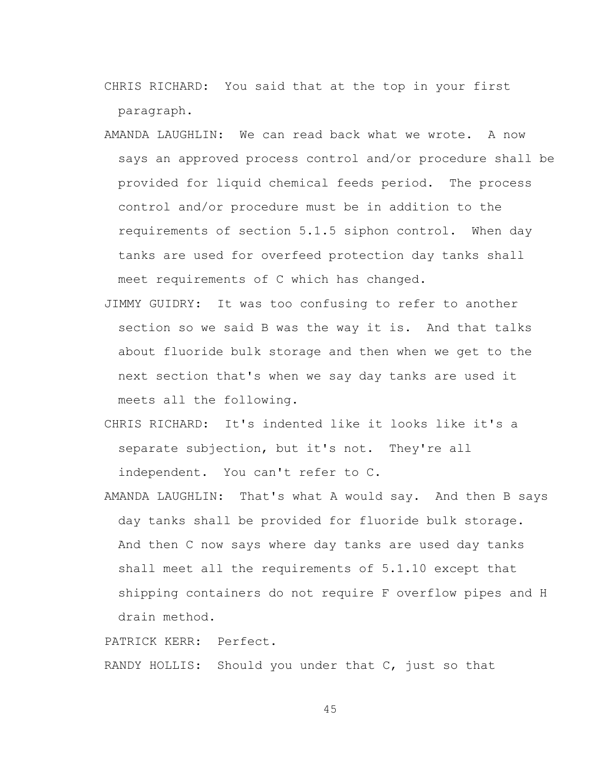- CHRIS RICHARD: You said that at the top in your first paragraph.
- AMANDA LAUGHLIN: We can read back what we wrote. A now says an approved process control and/or procedure shall be provided for liquid chemical feeds period. The process control and/or procedure must be in addition to the requirements of section 5.1.5 siphon control. When day tanks are used for overfeed protection day tanks shall meet requirements of C which has changed.
- JIMMY GUIDRY: It was too confusing to refer to another section so we said B was the way it is. And that talks about fluoride bulk storage and then when we get to the next section that's when we say day tanks are used it meets all the following.
- CHRIS RICHARD: It's indented like it looks like it's a separate subjection, but it's not. They're all independent. You can't refer to C.
- AMANDA LAUGHLIN: That's what A would say. And then B says day tanks shall be provided for fluoride bulk storage. And then C now says where day tanks are used day tanks shall meet all the requirements of 5.1.10 except that shipping containers do not require F overflow pipes and H drain method.

PATRICK KERR: Perfect.

RANDY HOLLIS: Should you under that C, just so that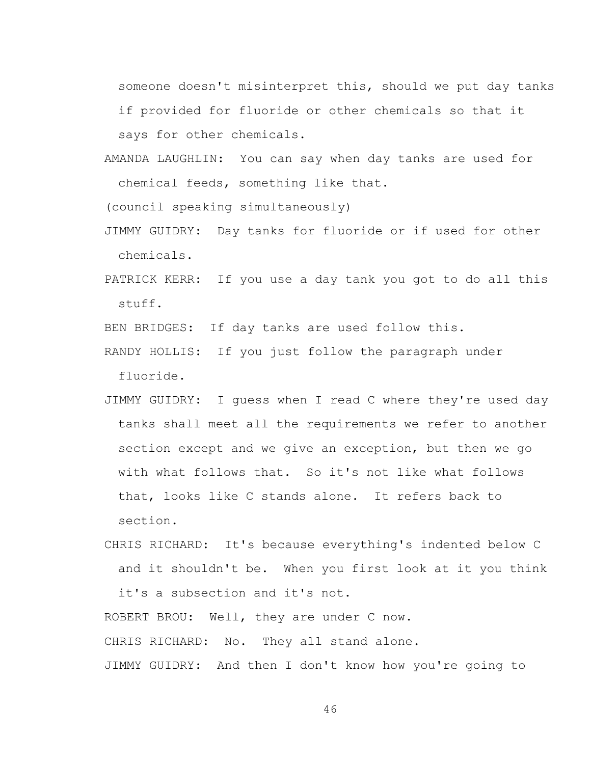someone doesn't misinterpret this, should we put day tanks if provided for fluoride or other chemicals so that it says for other chemicals.

AMANDA LAUGHLIN: You can say when day tanks are used for chemical feeds, something like that.

(council speaking simultaneously)

- JIMMY GUIDRY: Day tanks for fluoride or if used for other chemicals.
- PATRICK KERR: If you use a day tank you got to do all this stuff.

BEN BRIDGES: If day tanks are used follow this.

- RANDY HOLLIS: If you just follow the paragraph under fluoride.
- JIMMY GUIDRY: I guess when I read C where they're used day tanks shall meet all the requirements we refer to another section except and we give an exception, but then we go with what follows that. So it's not like what follows that, looks like C stands alone. It refers back to section.
- CHRIS RICHARD: It's because everything's indented below C and it shouldn't be. When you first look at it you think

it's a subsection and it's not.

ROBERT BROU: Well, they are under C now.

CHRIS RICHARD: No. They all stand alone.

JIMMY GUIDRY: And then I don't know how you're going to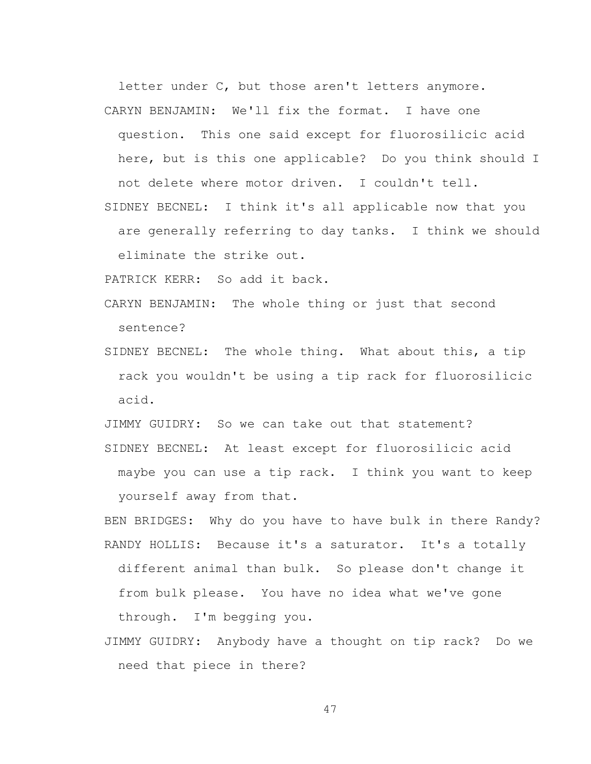letter under C, but those aren't letters anymore. CARYN BENJAMIN: We'll fix the format. I have one

question. This one said except for fluorosilicic acid here, but is this one applicable? Do you think should I not delete where motor driven. I couldn't tell.

SIDNEY BECNEL: I think it's all applicable now that you are generally referring to day tanks. I think we should eliminate the strike out.

PATRICK KERR: So add it back.

- CARYN BENJAMIN: The whole thing or just that second sentence?
- SIDNEY BECNEL: The whole thing. What about this, a tip rack you wouldn't be using a tip rack for fluorosilicic acid.

JIMMY GUIDRY: So we can take out that statement? SIDNEY BECNEL: At least except for fluorosilicic acid maybe you can use a tip rack. I think you want to keep yourself away from that.

BEN BRIDGES: Why do you have to have bulk in there Randy? RANDY HOLLIS: Because it's a saturator. It's a totally different animal than bulk. So please don't change it from bulk please. You have no idea what we've gone through. I'm begging you.

JIMMY GUIDRY: Anybody have a thought on tip rack? Do we need that piece in there?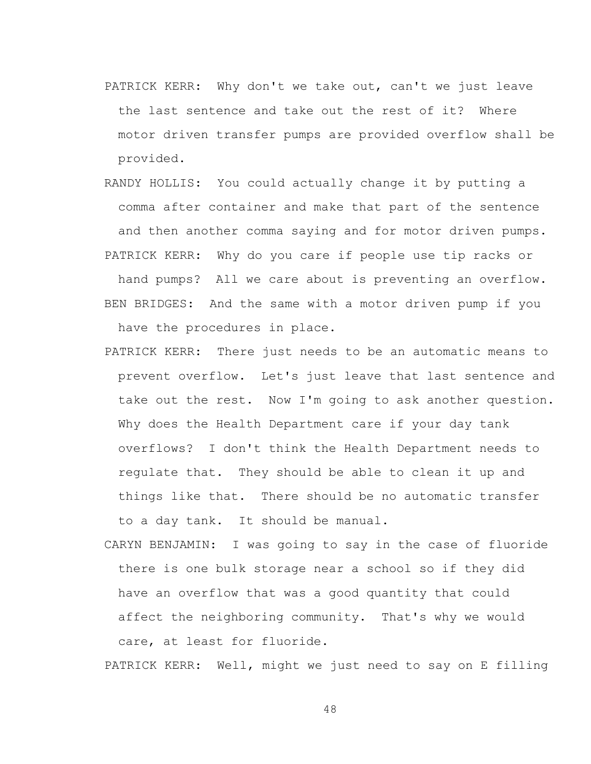- PATRICK KERR: Why don't we take out, can't we just leave the last sentence and take out the rest of it? Where motor driven transfer pumps are provided overflow shall be provided.
- RANDY HOLLIS: You could actually change it by putting a comma after container and make that part of the sentence and then another comma saying and for motor driven pumps. PATRICK KERR: Why do you care if people use tip racks or

hand pumps? All we care about is preventing an overflow. BEN BRIDGES: And the same with a motor driven pump if you have the procedures in place.

- PATRICK KERR: There just needs to be an automatic means to prevent overflow. Let's just leave that last sentence and take out the rest. Now I'm going to ask another question. Why does the Health Department care if your day tank overflows? I don't think the Health Department needs to regulate that. They should be able to clean it up and things like that. There should be no automatic transfer to a day tank. It should be manual.
- CARYN BENJAMIN: I was going to say in the case of fluoride there is one bulk storage near a school so if they did have an overflow that was a good quantity that could affect the neighboring community. That's why we would care, at least for fluoride.

PATRICK KERR: Well, might we just need to say on E filling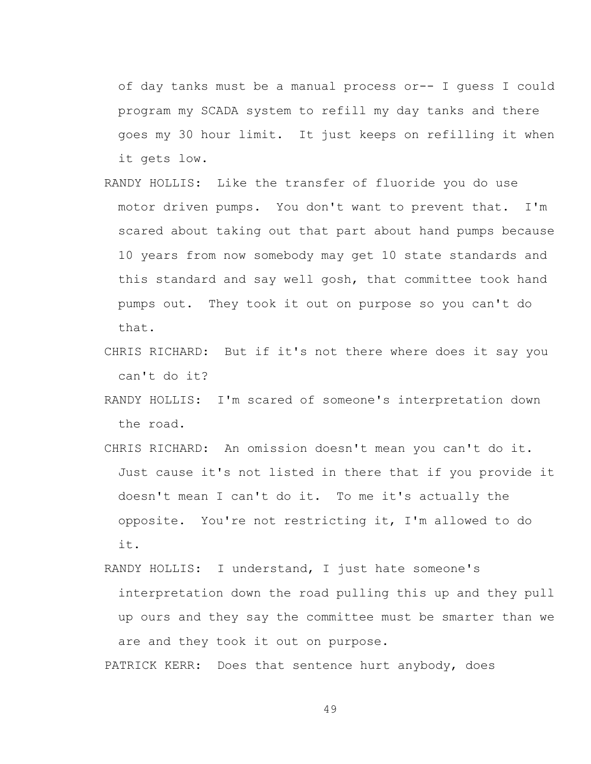of day tanks must be a manual process or-- I guess I could program my SCADA system to refill my day tanks and there goes my 30 hour limit. It just keeps on refilling it when it gets low.

- RANDY HOLLIS: Like the transfer of fluoride you do use motor driven pumps. You don't want to prevent that. I'm scared about taking out that part about hand pumps because 10 years from now somebody may get 10 state standards and this standard and say well gosh, that committee took hand pumps out. They took it out on purpose so you can't do that.
- CHRIS RICHARD: But if it's not there where does it say you can't do it?
- RANDY HOLLIS: I'm scared of someone's interpretation down the road.
- CHRIS RICHARD: An omission doesn't mean you can't do it. Just cause it's not listed in there that if you provide it doesn't mean I can't do it. To me it's actually the opposite. You're not restricting it, I'm allowed to do it.
- RANDY HOLLIS: I understand, I just hate someone's interpretation down the road pulling this up and they pull up ours and they say the committee must be smarter than we are and they took it out on purpose.

PATRICK KERR: Does that sentence hurt anybody, does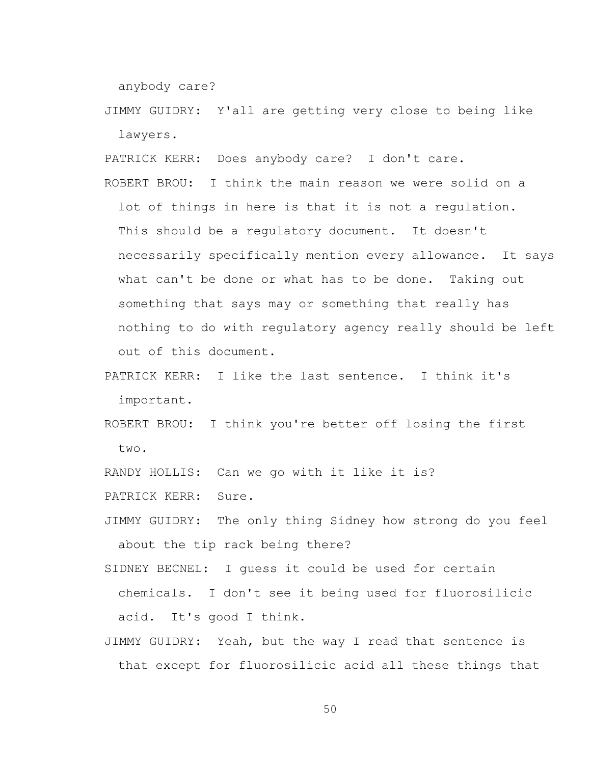anybody care?

JIMMY GUIDRY: Y'all are getting very close to being like lawyers.

PATRICK KERR: Does anybody care? I don't care.

ROBERT BROU: I think the main reason we were solid on a lot of things in here is that it is not a regulation. This should be a regulatory document. It doesn't necessarily specifically mention every allowance. It says what can't be done or what has to be done. Taking out something that says may or something that really has nothing to do with regulatory agency really should be left out of this document.

PATRICK KERR: I like the last sentence. I think it's important.

ROBERT BROU: I think you're better off losing the first two.

RANDY HOLLIS: Can we go with it like it is?

PATRICK KERR: Sure.

JIMMY GUIDRY: The only thing Sidney how strong do you feel about the tip rack being there?

SIDNEY BECNEL: I guess it could be used for certain chemicals. I don't see it being used for fluorosilicic acid. It's good I think.

JIMMY GUIDRY: Yeah, but the way I read that sentence is that except for fluorosilicic acid all these things that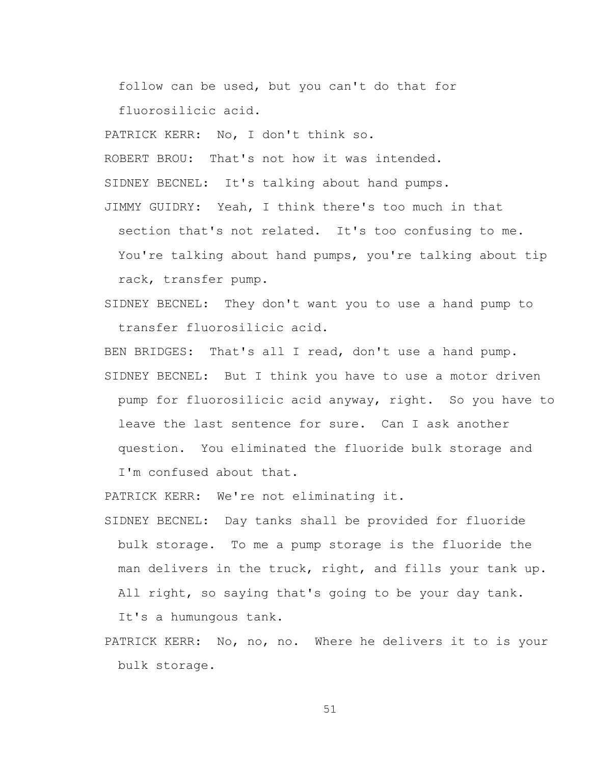follow can be used, but you can't do that for fluorosilicic acid.

PATRICK KERR: No, I don't think so.

ROBERT BROU: That's not how it was intended.

SIDNEY BECNEL: It's talking about hand pumps.

JIMMY GUIDRY: Yeah, I think there's too much in that

section that's not related. It's too confusing to me.

You're talking about hand pumps, you're talking about tip rack, transfer pump.

SIDNEY BECNEL: They don't want you to use a hand pump to transfer fluorosilicic acid.

BEN BRIDGES: That's all I read, don't use a hand pump.

SIDNEY BECNEL: But I think you have to use a motor driven pump for fluorosilicic acid anyway, right. So you have to leave the last sentence for sure. Can I ask another question. You eliminated the fluoride bulk storage and I'm confused about that.

PATRICK KERR: We're not eliminating it.

- SIDNEY BECNEL: Day tanks shall be provided for fluoride bulk storage. To me a pump storage is the fluoride the man delivers in the truck, right, and fills your tank up. All right, so saying that's going to be your day tank. It's a humungous tank.
- PATRICK KERR: No, no, no. Where he delivers it to is your bulk storage.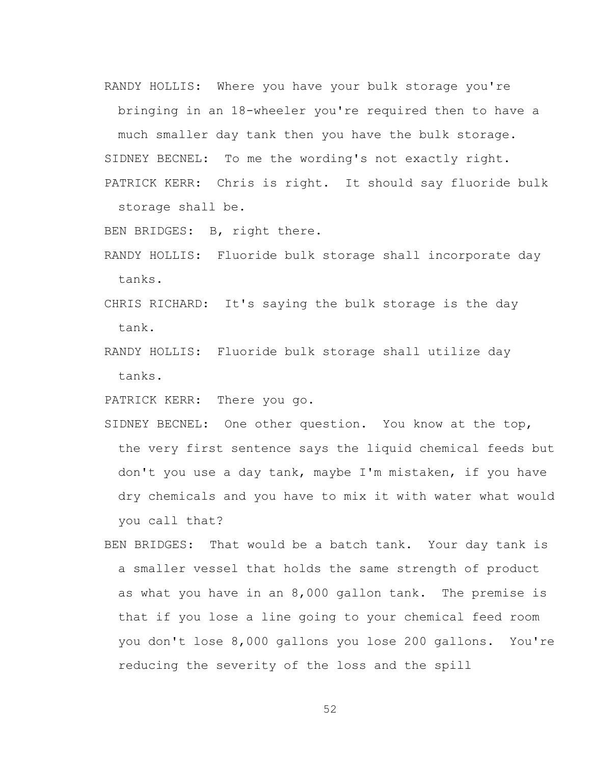RANDY HOLLIS: Where you have your bulk storage you're

bringing in an 18-wheeler you're required then to have a much smaller day tank then you have the bulk storage. SIDNEY BECNEL: To me the wording's not exactly right. PATRICK KERR: Chris is right. It should say fluoride bulk

storage shall be.

BEN BRIDGES: B, right there.

- RANDY HOLLIS: Fluoride bulk storage shall incorporate day tanks.
- CHRIS RICHARD: It's saying the bulk storage is the day tank.
- RANDY HOLLIS: Fluoride bulk storage shall utilize day tanks.

PATRICK KERR: There you go.

- SIDNEY BECNEL: One other question. You know at the top, the very first sentence says the liquid chemical feeds but don't you use a day tank, maybe I'm mistaken, if you have dry chemicals and you have to mix it with water what would you call that?
- BEN BRIDGES: That would be a batch tank. Your day tank is a smaller vessel that holds the same strength of product as what you have in an 8,000 gallon tank. The premise is that if you lose a line going to your chemical feed room you don't lose 8,000 gallons you lose 200 gallons. You're reducing the severity of the loss and the spill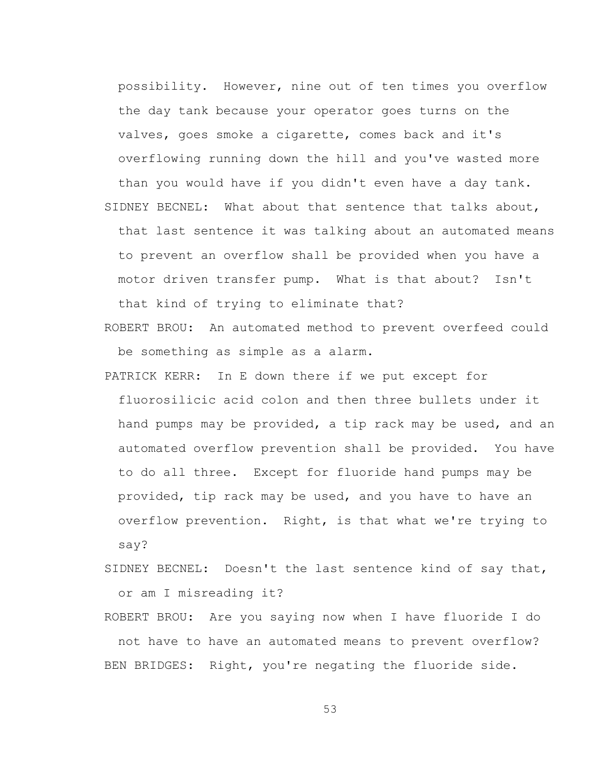possibility. However, nine out of ten times you overflow the day tank because your operator goes turns on the valves, goes smoke a cigarette, comes back and it's overflowing running down the hill and you've wasted more than you would have if you didn't even have a day tank. SIDNEY BECNEL: What about that sentence that talks about, that last sentence it was talking about an automated means to prevent an overflow shall be provided when you have a motor driven transfer pump. What is that about? Isn't that kind of trying to eliminate that?

- ROBERT BROU: An automated method to prevent overfeed could be something as simple as a alarm.
- PATRICK KERR: In E down there if we put except for fluorosilicic acid colon and then three bullets under it hand pumps may be provided, a tip rack may be used, and an automated overflow prevention shall be provided. You have to do all three. Except for fluoride hand pumps may be provided, tip rack may be used, and you have to have an overflow prevention. Right, is that what we're trying to say?
- SIDNEY BECNEL: Doesn't the last sentence kind of say that, or am I misreading it?

ROBERT BROU: Are you saying now when I have fluoride I do not have to have an automated means to prevent overflow? BEN BRIDGES: Right, you're negating the fluoride side.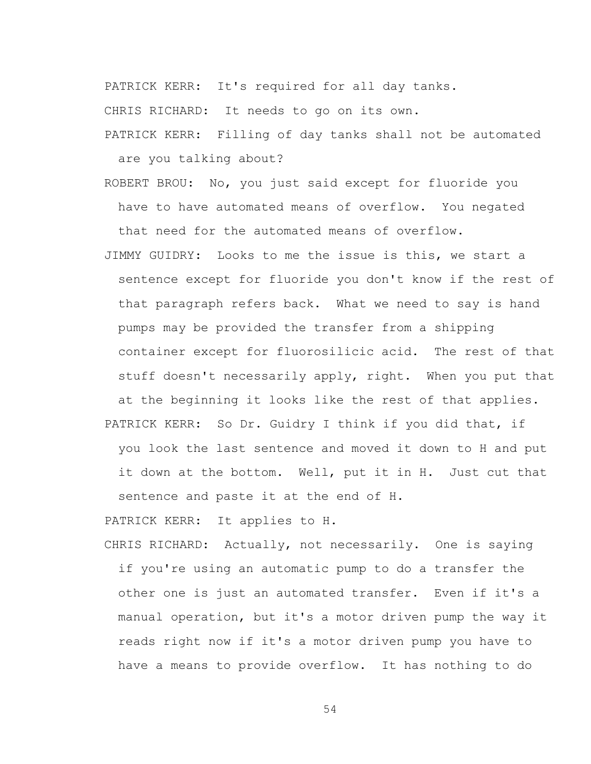PATRICK KERR: It's required for all day tanks.

CHRIS RICHARD: It needs to go on its own.

PATRICK KERR: Filling of day tanks shall not be automated are you talking about?

ROBERT BROU: No, you just said except for fluoride you have to have automated means of overflow. You negated that need for the automated means of overflow.

JIMMY GUIDRY: Looks to me the issue is this, we start a sentence except for fluoride you don't know if the rest of that paragraph refers back. What we need to say is hand pumps may be provided the transfer from a shipping container except for fluorosilicic acid. The rest of that stuff doesn't necessarily apply, right. When you put that at the beginning it looks like the rest of that applies. PATRICK KERR: So Dr. Guidry I think if you did that, if you look the last sentence and moved it down to H and put it down at the bottom. Well, put it in H. Just cut that sentence and paste it at the end of H.

PATRICK KERR: It applies to H.

CHRIS RICHARD: Actually, not necessarily. One is saying if you're using an automatic pump to do a transfer the other one is just an automated transfer. Even if it's a manual operation, but it's a motor driven pump the way it reads right now if it's a motor driven pump you have to have a means to provide overflow. It has nothing to do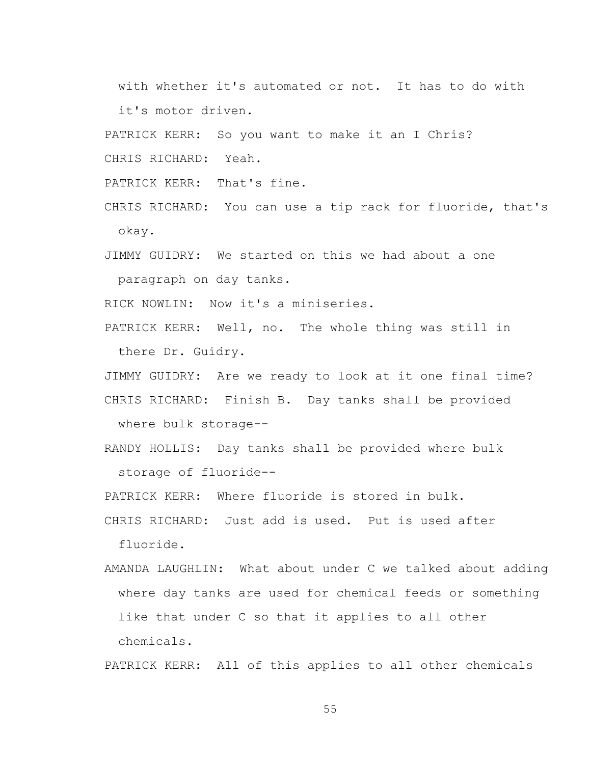with whether it's automated or not. It has to do with it's motor driven.

PATRICK KERR: So you want to make it an I Chris?

CHRIS RICHARD: Yeah.

PATRICK KERR: That's fine.

CHRIS RICHARD: You can use a tip rack for fluoride, that's okay.

JIMMY GUIDRY: We started on this we had about a one paragraph on day tanks.

RICK NOWLIN: Now it's a miniseries.

PATRICK KERR: Well, no. The whole thing was still in there Dr. Guidry.

JIMMY GUIDRY: Are we ready to look at it one final time? CHRIS RICHARD: Finish B. Day tanks shall be provided where bulk storage--

RANDY HOLLIS: Day tanks shall be provided where bulk storage of fluoride--

PATRICK KERR: Where fluoride is stored in bulk.

CHRIS RICHARD: Just add is used. Put is used after fluoride.

AMANDA LAUGHLIN: What about under C we talked about adding where day tanks are used for chemical feeds or something like that under C so that it applies to all other chemicals.

PATRICK KERR: All of this applies to all other chemicals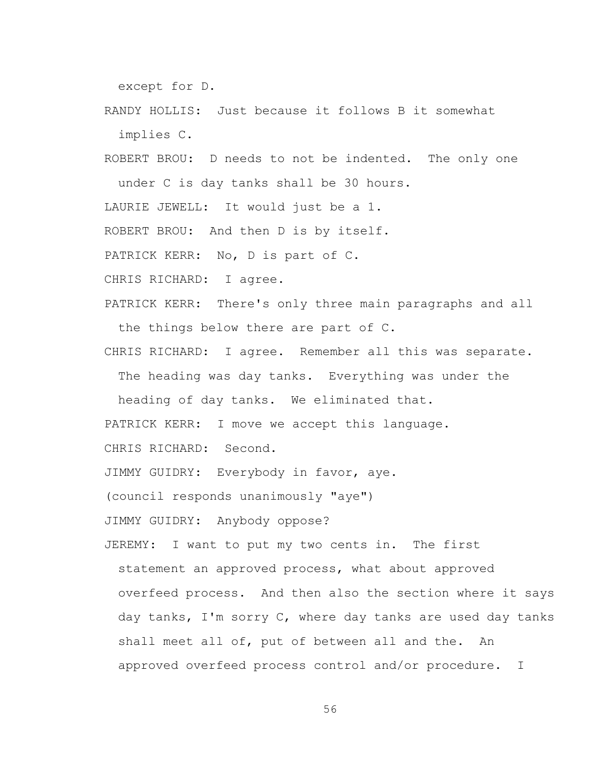except for D.

RANDY HOLLIS: Just because it follows B it somewhat implies C.

ROBERT BROU: D needs to not be indented. The only one under C is day tanks shall be 30 hours. LAURIE JEWELL: It would just be a 1. ROBERT BROU: And then D is by itself. PATRICK KERR: No, D is part of C. CHRIS RICHARD: I agree.

PATRICK KERR: There's only three main paragraphs and all the things below there are part of C.

CHRIS RICHARD: I agree. Remember all this was separate. The heading was day tanks. Everything was under the

heading of day tanks. We eliminated that.

PATRICK KERR: I move we accept this language.

CHRIS RICHARD: Second.

JIMMY GUIDRY: Everybody in favor, aye.

(council responds unanimously "aye")

JIMMY GUIDRY: Anybody oppose?

JEREMY: I want to put my two cents in. The first statement an approved process, what about approved overfeed process. And then also the section where it says day tanks, I'm sorry C, where day tanks are used day tanks shall meet all of, put of between all and the. An approved overfeed process control and/or procedure. I